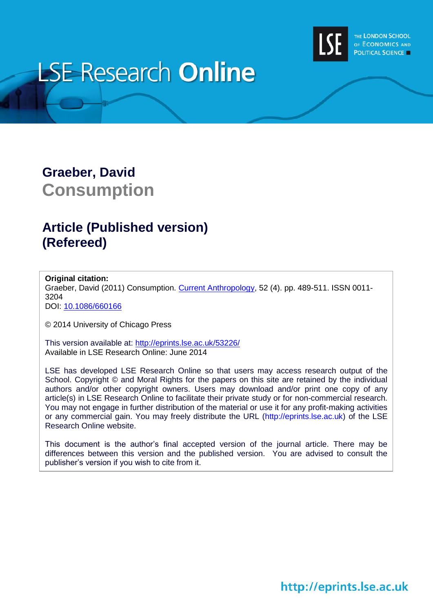

# **LSE Research Online**

# **Graeber, David Consumption**

# **Article (Published version) (Refereed)**

## **Original citation:**

Graeber, David (2011) Consumption. [Current Anthropology,](http://www.press.uchicago.edu/ucp/journals/journal/ca.html) 52 (4). pp. 489-511. ISSN 0011- 3204 DOI: [10.1086/660166](http://dx.doi.org/10.1086/660166)

© 2014 University of Chicago Press

This version available at:<http://eprints.lse.ac.uk/53226/> Available in LSE Research Online: June 2014

LSE has developed LSE Research Online so that users may access research output of the School. Copyright © and Moral Rights for the papers on this site are retained by the individual authors and/or other copyright owners. Users may download and/or print one copy of any article(s) in LSE Research Online to facilitate their private study or for non-commercial research. You may not engage in further distribution of the material or use it for any profit-making activities or any commercial gain. You may freely distribute the URL (http://eprints.lse.ac.uk) of the LSE Research Online website.

This document is the author's final accepted version of the journal article. There may be differences between this version and the published version. You are advised to consult the publisher's version if you wish to cite from it.

# http://eprints.lse.ac.uk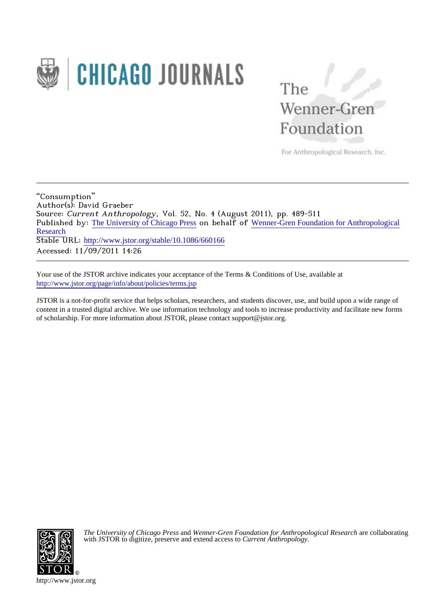



For Anthropological Research, Inc.

"Consumption" Author(s): David Graeber Source: Current Anthropology, Vol. 52, No. 4 (August 2011), pp. 489-511 Published by: [The University of Chicago Press](http://www.jstor.org/action/showPublisher?publisherCode=ucpress) on behalf of [Wenner-Gren Foundation for Anthropological](http://www.jstor.org/action/showPublisher?publisherCode=wennergren) [Research](http://www.jstor.org/action/showPublisher?publisherCode=wennergren) Stable URL: http://www.jstor.org/stable/10.1086/660166 Accessed: 11/09/2011 14:26

Your use of the JSTOR archive indicates your acceptance of the Terms & Conditions of Use, available at <http://www.jstor.org/page/info/about/policies/terms.jsp>

JSTOR is a not-for-profit service that helps scholars, researchers, and students discover, use, and build upon a wide range of content in a trusted digital archive. We use information technology and tools to increase productivity and facilitate new forms of scholarship. For more information about JSTOR, please contact support@jstor.org.



*The University of Chicago Press* and *Wenner-Gren Foundation for Anthropological Research* are collaborating with JSTOR to digitize, preserve and extend access to *Current Anthropology.*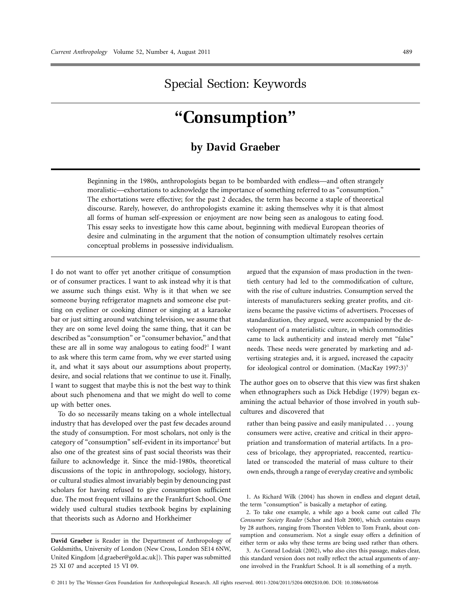# Special Section: Keywords

# **"Consumption"**

## **by David Graeber**

Beginning in the 1980s, anthropologists began to be bombarded with endless—and often strangely moralistic—exhortations to acknowledge the importance of something referred to as "consumption." The exhortations were effective; for the past 2 decades, the term has become a staple of theoretical discourse. Rarely, however, do anthropologists examine it: asking themselves why it is that almost all forms of human self-expression or enjoyment are now being seen as analogous to eating food. This essay seeks to investigate how this came about, beginning with medieval European theories of desire and culminating in the argument that the notion of consumption ultimately resolves certain conceptual problems in possessive individualism.

I do not want to offer yet another critique of consumption or of consumer practices. I want to ask instead why it is that we assume such things exist. Why is it that when we see someone buying refrigerator magnets and someone else putting on eyeliner or cooking dinner or singing at a karaoke bar or just sitting around watching television, we assume that they are on some level doing the same thing, that it can be described as "consumption" or "consumer behavior," and that these are all in some way analogous to eating food?<sup>1</sup> I want to ask where this term came from, why we ever started using it, and what it says about our assumptions about property, desire, and social relations that we continue to use it. Finally, I want to suggest that maybe this is not the best way to think about such phenomena and that we might do well to come up with better ones.

To do so necessarily means taking on a whole intellectual industry that has developed over the past few decades around the study of consumption. For most scholars, not only is the category of "consumption" self-evident in its importance<sup>2</sup> but also one of the greatest sins of past social theorists was their failure to acknowledge it. Since the mid-1980s, theoretical discussions of the topic in anthropology, sociology, history, or cultural studies almost invariably begin by denouncing past scholars for having refused to give consumption sufficient due. The most frequent villains are the Frankfurt School. One widely used cultural studies textbook begins by explaining that theorists such as Adorno and Horkheimer

argued that the expansion of mass production in the twentieth century had led to the commodification of culture, with the rise of culture industries. Consumption served the interests of manufacturers seeking greater profits, and citizens became the passive victims of advertisers. Processes of standardization, they argued, were accompanied by the development of a materialistic culture, in which commodities came to lack authenticity and instead merely met "false" needs. These needs were generated by marketing and advertising strategies and, it is argued, increased the capacity for ideological control or domination. (MacKay 1997:3)<sup>3</sup>

The author goes on to observe that this view was first shaken when ethnographers such as Dick Hebdige (1979) began examining the actual behavior of those involved in youth subcultures and discovered that

rather than being passive and easily manipulated... young consumers were active, creative and critical in their appropriation and transformation of material artifacts. In a process of bricolage, they appropriated, reaccented, rearticulated or transcoded the material of mass culture to their own ends, through a range of everyday creative and symbolic

**David Graeber** is Reader in the Department of Anthropology of Goldsmiths, University of London (New Cross, London SE14 6NW, United Kingdom [\[d.graeber@gold.ac.uk\]](mailto:d.graeber@gold.ac.uk)). This paper was submitted 25 XI 07 and accepted 15 VI 09.

<sup>1.</sup> As Richard Wilk (2004) has shown in endless and elegant detail, the term "consumption" is basically a metaphor of eating.

<sup>2.</sup> To take one example, a while ago a book came out called *The Consumer Society Reader* (Schor and Holt 2000), which contains essays by 28 authors, ranging from Thorsten Veblen to Tom Frank, about consumption and consumerism. Not a single essay offers a definition of either term or asks why these terms are being used rather than others.

<sup>3.</sup> As Conrad Lodziak (2002), who also cites this passage, makes clear, this standard version does not really reflect the actual arguments of anyone involved in the Frankfurt School. It is all something of a myth.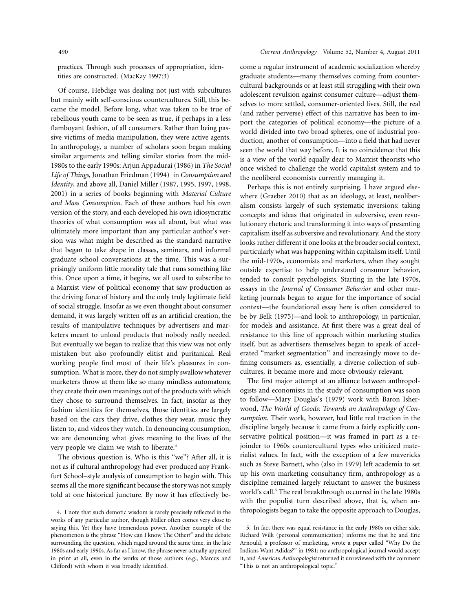practices. Through such processes of appropriation, identities are constructed. (MacKay 1997:3)

Of course, Hebdige was dealing not just with subcultures but mainly with self-conscious countercultures. Still, this became the model. Before long, what was taken to be true of rebellious youth came to be seen as true, if perhaps in a less flamboyant fashion, of all consumers. Rather than being passive victims of media manipulation, they were active agents. In anthropology, a number of scholars soon began making similar arguments and telling similar stories from the mid-1980s to the early 1990s: Arjun Appadurai (1986) in *The Social Life of Things*, Jonathan Friedman (1994) in *Consumption and Identity*, and above all, Daniel Miller (1987, 1995, 1997, 1998, 2001) in a series of books beginning with *Material Culture and Mass Consumption*. Each of these authors had his own version of the story, and each developed his own idiosyncratic theories of what consumption was all about, but what was ultimately more important than any particular author's version was what might be described as the standard narrative that began to take shape in classes, seminars, and informal graduate school conversations at the time. This was a surprisingly uniform little morality tale that runs something like this. Once upon a time, it begins, we all used to subscribe to a Marxist view of political economy that saw production as the driving force of history and the only truly legitimate field of social struggle. Insofar as we even thought about consumer demand, it was largely written off as an artificial creation, the results of manipulative techniques by advertisers and marketers meant to unload products that nobody really needed. But eventually we began to realize that this view was not only mistaken but also profoundly elitist and puritanical. Real working people find most of their life's pleasures in consumption. What is more, they do not simply swallow whatever marketers throw at them like so many mindless automatons; they create their own meanings out of the products with which they chose to surround themselves. In fact, insofar as they fashion identities for themselves, those identities are largely based on the cars they drive, clothes they wear, music they listen to, and videos they watch. In denouncing consumption, we are denouncing what gives meaning to the lives of the very people we claim we wish to liberate.<sup>4</sup>

The obvious question is, Who is this "we"? After all, it is not as if cultural anthropology had ever produced any Frankfurt School–style analysis of consumption to begin with. This seems all the more significant because the story was not simply told at one historical juncture. By now it has effectively become a regular instrument of academic socialization whereby graduate students—many themselves coming from countercultural backgrounds or at least still struggling with their own adolescent revulsion against consumer culture—adjust themselves to more settled, consumer-oriented lives. Still, the real (and rather perverse) effect of this narrative has been to import the categories of political economy—the picture of a world divided into two broad spheres, one of industrial production, another of consumption—into a field that had never seen the world that way before. It is no coincidence that this is a view of the world equally dear to Marxist theorists who once wished to challenge the world capitalist system and to the neoliberal economists currently managing it.

Perhaps this is not entirely surprising. I have argued elsewhere (Graeber 2010) that as an ideology, at least, neoliberalism consists largely of such systematic inversions: taking concepts and ideas that originated in subversive, even revolutionary rhetoric and transforming it into ways of presenting capitalism itself as subversive and revolutionary. And the story looks rather different if one looks at the broader social context, particularly what was happening within capitalism itself. Until the mid-1970s, economists and marketers, when they sought outside expertise to help understand consumer behavior, tended to consult psychologists. Starting in the late 1970s, essays in the *Journal of Consumer Behavior* and other marketing journals began to argue for the importance of social context—the foundational essay here is often considered to be by Belk (1975)—and look to anthropology, in particular, for models and assistance. At first there was a great deal of resistance to this line of approach within marketing studies itself, but as advertisers themselves began to speak of accelerated "market segmentation" and increasingly move to defining consumers as, essentially, a diverse collection of subcultures, it became more and more obviously relevant.

The first major attempt at an alliance between anthropologists and economists in the study of consumption was soon to follow—Mary Douglas's (1979) work with Baron Isherwood, *The World of Goods: Towards an Anthropology of Consumption*. Their work, however, had little real traction in the discipline largely because it came from a fairly explicitly conservative political position—it was framed in part as a rejoinder to 1960s countercultural types who criticized materialist values. In fact, with the exception of a few mavericks such as Steve Barnett, who (also in 1979) left academia to set up his own marketing consultancy firm, anthropology as a discipline remained largely reluctant to answer the business world's call.<sup>5</sup> The real breakthrough occurred in the late 1980s with the populist turn described above, that is, when anthropologists began to take the opposite approach to Douglas,

5. In fact there was equal resistance in the early 1980s on either side. Richard Wilk (personal communication) informs me that he and Eric Arnould, a professor of marketing, wrote a paper called "Why Do the Indians Want Adidas?" in 1981; no anthropological journal would accept it, and *American Anthropologist* returned it unreviewed with the comment "This is not an anthropological topic."

<sup>4.</sup> I note that such demotic wisdom is rarely precisely reflected in the works of any particular author, though Miller often comes very close to saying this. Yet they have tremendous power. Another example of the phenomenon is the phrase "How can I know The Other?" and the debate surrounding the question, which raged around the same time, in the late 1980s and early 1990s. As far as I know, the phrase never actually appeared in print at all, even in the works of those authors (e.g., Marcus and Clifford) with whom it was broadly identified.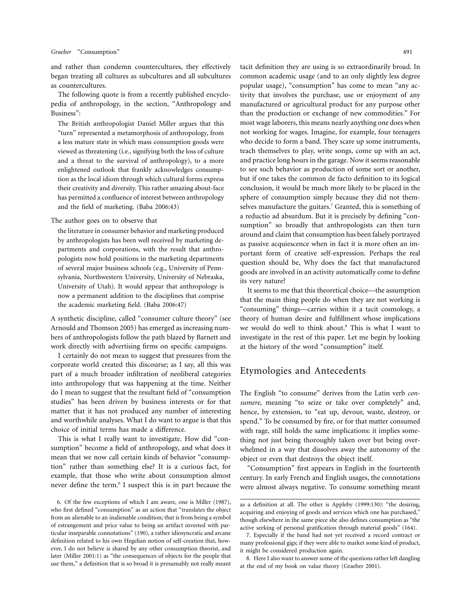and rather than condemn countercultures, they effectively began treating all cultures as subcultures and all subcultures as countercultures.

The following quote is from a recently published encyclopedia of anthropology, in the section, "Anthropology and Business":

The British anthropologist Daniel Miller argues that this "turn" represented a metamorphosis of anthropology, from a less mature state in which mass consumption goods were viewed as threatening (i.e., signifying both the loss of culture and a threat to the survival of anthropology), to a more enlightened outlook that frankly acknowledges consumption as the local idiom through which cultural forms express their creativity and diversity. This rather amazing about-face has permitted a confluence of interest between anthropology and the field of marketing. (Baba 2006:43)

The author goes on to observe that

the literature in consumer behavior and marketing produced by anthropologists has been well received by marketing departments and corporations, with the result that anthropologists now hold positions in the marketing departments of several major business schools (e.g., University of Pennsylvania, Northwestern University, University of Nebraska, University of Utah). It would appear that anthropology is now a permanent addition to the disciplines that comprise the academic marketing field. (Baba 2006:47)

A synthetic discipline, called "consumer culture theory" (see Arnould and Thomson 2005) has emerged as increasing numbers of anthropologists follow the path blazed by Barnett and work directly with advertising firms on specific campaigns.

I certainly do not mean to suggest that pressures from the corporate world created this discourse; as I say, all this was part of a much broader infiltration of neoliberal categories into anthropology that was happening at the time. Neither do I mean to suggest that the resultant field of "consumption studies" has been driven by business interests or for that matter that it has not produced any number of interesting and worthwhile analyses. What I do want to argue is that this choice of initial terms has made a difference.

This is what I really want to investigate. How did "consumption" become a field of anthropology, and what does it mean that we now call certain kinds of behavior "consumption" rather than something else? It is a curious fact, for example, that those who write about consumption almost never define the term.<sup>6</sup> I suspect this is in part because the tacit definition they are using is so extraordinarily broad. In common academic usage (and to an only slightly less degree popular usage), "consumption" has come to mean "any activity that involves the purchase, use or enjoyment of any manufactured or agricultural product for any purpose other than the production or exchange of new commodities." For most wage laborers, this means nearly anything one does when not working for wages. Imagine, for example, four teenagers who decide to form a band. They scare up some instruments, teach themselves to play, write songs, come up with an act, and practice long hours in the garage. Now it seems reasonable to see such behavior as production of some sort or another, but if one takes the common de facto definition to its logical conclusion, it would be much more likely to be placed in the sphere of consumption simply because they did not themselves manufacture the guitars.<sup>7</sup> Granted, this is something of a reductio ad absurdum. But it is precisely by defining "consumption" so broadly that anthropologists can then turn around and claim that consumption has been falsely portrayed as passive acquiescence when in fact it is more often an important form of creative self-expression. Perhaps the real question should be, Why does the fact that manufactured goods are involved in an activity automatically come to define its very nature?

It seems to me that this theoretical choice—the assumption that the main thing people do when they are not working is "consuming" things—carries within it a tacit cosmology, a theory of human desire and fulfillment whose implications we would do well to think about.<sup>8</sup> This is what I want to investigate in the rest of this paper. Let me begin by looking at the history of the word "consumption" itself.

#### Etymologies and Antecedents

The English "to consume" derives from the Latin verb *consumere*, meaning "to seize or take over completely" and, hence, by extension, to "eat up, devour, waste, destroy, or spend." To be consumed by fire, or for that matter consumed with rage, still holds the same implications: it implies something not just being thoroughly taken over but being overwhelmed in a way that dissolves away the autonomy of the object or even that destroys the object itself.

"Consumption" first appears in English in the fourteenth century. In early French and English usages, the connotations were almost always negative. To consume something meant

<sup>6.</sup> Of the few exceptions of which I am aware, one is Miller (1987), who first defined "consumption" as an action that "translates the object from an alienable to an inalienable condition; that is from being a symbol of estrangement and price value to being an artifact invested with particular inseparable connotations" (190), a rather idiosyncratic and arcane definition related to his own Hegelian notion of self-creation that, however, I do not believe is shared by any other consumption theorist, and later (Miller 2001:1) as "the consequences of objects for the people that use them," a definition that is so broad it is presumably not really meant

as a definition at all. The other is Appleby (1999:130): "the desiring, acquiring and enjoying of goods and services which one has purchased," though elsewhere in the same piece she also defines consumption as "the active seeking of personal gratification through material goods" (164).

<sup>7.</sup> Especially if the band had not yet received a record contract or many professional gigs; if they were able to market some kind of product, it might be considered production again.

<sup>8.</sup> Here I also want to answer some of the questions rather left dangling at the end of my book on value theory (Graeber 2001).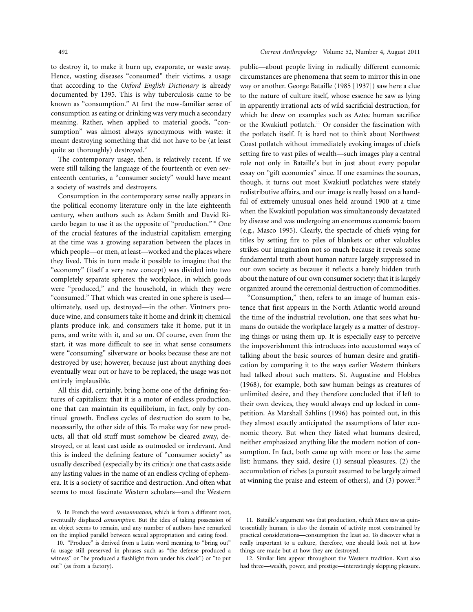to destroy it, to make it burn up, evaporate, or waste away. Hence, wasting diseases "consumed" their victims, a usage that according to the *Oxford English Dictionary* is already documented by 1395. This is why tuberculosis came to be known as "consumption." At first the now-familiar sense of consumption as eating or drinking was very much a secondary meaning. Rather, when applied to material goods, "consumption" was almost always synonymous with waste: it meant destroying something that did not have to be (at least quite so thoroughly) destroyed.<sup>9</sup>

The contemporary usage, then, is relatively recent. If we were still talking the language of the fourteenth or even seventeenth centuries, a "consumer society" would have meant a society of wastrels and destroyers.

Consumption in the contemporary sense really appears in the political economy literature only in the late eighteenth century, when authors such as Adam Smith and David Ricardo began to use it as the opposite of "production."10 One of the crucial features of the industrial capitalism emerging at the time was a growing separation between the places in which people—or men, at least—worked and the places where they lived. This in turn made it possible to imagine that the "economy" (itself a very new concept) was divided into two completely separate spheres: the workplace, in which goods were "produced," and the household, in which they were "consumed." That which was created in one sphere is used ultimately, used up, destroyed—in the other. Vintners produce wine, and consumers take it home and drink it; chemical plants produce ink, and consumers take it home, put it in pens, and write with it, and so on. Of course, even from the start, it was more difficult to see in what sense consumers were "consuming" silverware or books because these are not destroyed by use; however, because just about anything does eventually wear out or have to be replaced, the usage was not entirely implausible.

All this did, certainly, bring home one of the defining features of capitalism: that it is a motor of endless production, one that can maintain its equilibrium, in fact, only by continual growth. Endless cycles of destruction do seem to be, necessarily, the other side of this. To make way for new products, all that old stuff must somehow be cleared away, destroyed, or at least cast aside as outmoded or irrelevant. And this is indeed the defining feature of "consumer society" as usually described (especially by its critics): one that casts aside any lasting values in the name of an endless cycling of ephemera. It is a society of sacrifice and destruction. And often what seems to most fascinate Western scholars—and the Western

public—about people living in radically different economic circumstances are phenomena that seem to mirror this in one way or another. George Bataille (1985 [1937]) saw here a clue to the nature of culture itself, whose essence he saw as lying in apparently irrational acts of wild sacrificial destruction, for which he drew on examples such as Aztec human sacrifice or the Kwakiutl potlatch.<sup>11</sup> Or consider the fascination with the potlatch itself. It is hard not to think about Northwest Coast potlatch without immediately evoking images of chiefs setting fire to vast piles of wealth—such images play a central role not only in Bataille's but in just about every popular essay on "gift economies" since. If one examines the sources, though, it turns out most Kwakiutl potlatches were stately redistributive affairs, and our image is really based on a handful of extremely unusual ones held around 1900 at a time when the Kwakiutl population was simultaneously devastated by disease and was undergoing an enormous economic boom (e.g., Masco 1995). Clearly, the spectacle of chiefs vying for titles by setting fire to piles of blankets or other valuables strikes our imagination not so much because it reveals some fundamental truth about human nature largely suppressed in our own society as because it reflects a barely hidden truth about the nature of our own consumer society: that it is largely organized around the ceremonial destruction of commodities.

"Consumption," then, refers to an image of human existence that first appears in the North Atlantic world around the time of the industrial revolution, one that sees what humans do outside the workplace largely as a matter of destroying things or using them up. It is especially easy to perceive the impoverishment this introduces into accustomed ways of talking about the basic sources of human desire and gratification by comparing it to the ways earlier Western thinkers had talked about such matters. St. Augustine and Hobbes (1968), for example, both saw human beings as creatures of unlimited desire, and they therefore concluded that if left to their own devices, they would always end up locked in competition. As Marshall Sahlins (1996) has pointed out, in this they almost exactly anticipated the assumptions of later economic theory. But when they listed what humans desired, neither emphasized anything like the modern notion of consumption. In fact, both came up with more or less the same list: humans, they said, desire (1) sensual pleasures, (2) the accumulation of riches (a pursuit assumed to be largely aimed at winning the praise and esteem of others), and  $(3)$  power.<sup>12</sup>

12. Similar lists appear throughout the Western tradition. Kant also had three—wealth, power, and prestige—interestingly skipping pleasure.

<sup>9.</sup> In French the word *consummation*, which is from a different root, eventually displaced *consumption*. But the idea of taking possession of an object seems to remain, and any number of authors have remarked on the implied parallel between sexual appropriation and eating food.

<sup>10. &</sup>quot;Produce" is derived from a Latin word meaning to "bring out" (a usage still preserved in phrases such as "the defense produced a witness" or "he produced a flashlight from under his cloak") or "to put out" (as from a factory).

<sup>11.</sup> Bataille's argument was that production, which Marx saw as quintessentially human, is also the domain of activity most constrained by practical considerations—consumption the least so. To discover what is really important to a culture, therefore, one should look not at how things are made but at how they are destroyed.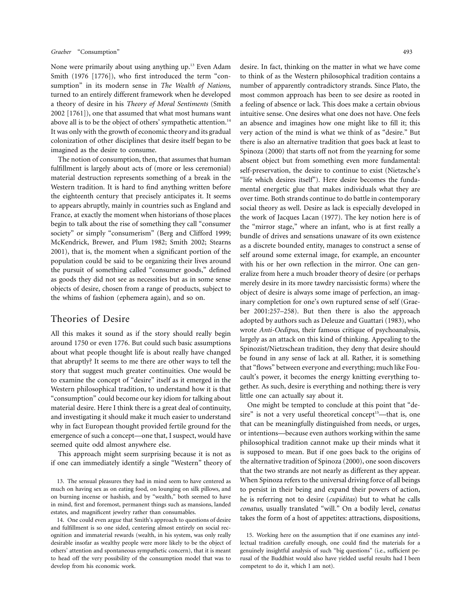None were primarily about using anything up.<sup>13</sup> Even Adam Smith (1976 [1776]), who first introduced the term "consumption" in its modern sense in *The Wealth of Nations*, turned to an entirely different framework when he developed a theory of desire in his *Theory of Moral Sentiments* (Smith 2002 [1761]), one that assumed that what most humans want above all is to be the object of others' sympathetic attention.<sup>14</sup> It was only with the growth of economic theory and its gradual colonization of other disciplines that desire itself began to be imagined as the desire to consume.

The notion of consumption, then, that assumes that human fulfillment is largely about acts of (more or less ceremonial) material destruction represents something of a break in the Western tradition. It is hard to find anything written before the eighteenth century that precisely anticipates it. It seems to appears abruptly, mainly in countries such as England and France, at exactly the moment when historians of those places begin to talk about the rise of something they call "consumer society" or simply "consumerism" (Berg and Clifford 1999; McKendrick, Brewer, and Plum 1982; Smith 2002; Stearns 2001), that is, the moment when a significant portion of the population could be said to be organizing their lives around the pursuit of something called "consumer goods," defined as goods they did not see as necessities but as in some sense objects of desire, chosen from a range of products, subject to the whims of fashion (ephemera again), and so on.

### Theories of Desire

All this makes it sound as if the story should really begin around 1750 or even 1776. But could such basic assumptions about what people thought life is about really have changed that abruptly? It seems to me there are other ways to tell the story that suggest much greater continuities. One would be to examine the concept of "desire" itself as it emerged in the Western philosophical tradition, to understand how it is that "consumption" could become our key idiom for talking about material desire. Here I think there is a great deal of continuity, and investigating it should make it much easier to understand why in fact European thought provided fertile ground for the emergence of such a concept—one that, I suspect, would have seemed quite odd almost anywhere else.

This approach might seem surprising because it is not as if one can immediately identify a single "Western" theory of

14. One could even argue that Smith's approach to questions of desire and fulfillment is so one sided, centering almost entirely on social recognition and immaterial rewards (wealth, in his system, was only really desirable insofar as wealthy people were more likely to be the object of others' attention and spontaneous sympathetic concern), that it is meant to head off the very possibility of the consumption model that was to develop from his economic work.

desire. In fact, thinking on the matter in what we have come to think of as the Western philosophical tradition contains a number of apparently contradictory strands. Since Plato, the most common approach has been to see desire as rooted in a feeling of absence or lack. This does make a certain obvious intuitive sense. One desires what one does not have. One feels an absence and imagines how one might like to fill it; this very action of the mind is what we think of as "desire." But there is also an alternative tradition that goes back at least to Spinoza (2000) that starts off not from the yearning for some absent object but from something even more fundamental: self-preservation, the desire to continue to exist (Nietzsche's "life which desires itself"). Here desire becomes the fundamental energetic glue that makes individuals what they are over time. Both strands continue to do battle in contemporary social theory as well. Desire as lack is especially developed in the work of Jacques Lacan (1977). The key notion here is of the "mirror stage," where an infant, who is at first really a bundle of drives and sensations unaware of its own existence as a discrete bounded entity, manages to construct a sense of self around some external image, for example, an encounter with his or her own reflection in the mirror. One can generalize from here a much broader theory of desire (or perhaps merely desire in its more tawdry narcissistic forms) where the object of desire is always some image of perfection, an imaginary completion for one's own ruptured sense of self (Graeber 2001:257–258). But then there is also the approach adopted by authors such as Deleuze and Guattari (1983), who wrote *Anti-Oedipus*, their famous critique of psychoanalysis, largely as an attack on this kind of thinking. Appealing to the Spinozist/Nietzschean tradition, they deny that desire should be found in any sense of lack at all. Rather, it is something that "flows" between everyone and everything; much like Foucault's power, it becomes the energy knitting everything together. As such, desire is everything and nothing; there is very little one can actually say about it.

One might be tempted to conclude at this point that "desire" is not a very useful theoretical concept $+15$ —that is, one that can be meaningfully distinguished from needs, or urges, or intentions—because even authors working within the same philosophical tradition cannot make up their minds what it is supposed to mean. But if one goes back to the origins of the alternative tradition of Spinoza (2000), one soon discovers that the two strands are not nearly as different as they appear. When Spinoza refers to the universal driving force of all beings to persist in their being and expand their powers of action, he is referring not to desire (*cupiditas*) but to what he calls *conatus*, usually translated "will." On a bodily level, *conatus* takes the form of a host of appetites: attractions, dispositions,

15. Working here on the assumption that if one examines any intellectual tradition carefully enough, one could find the materials for a genuinely insightful analysis of such "big questions" (i.e., sufficient perusal of the Buddhist would also have yielded useful results had I been competent to do it, which I am not).

<sup>13.</sup> The sensual pleasures they had in mind seem to have centered as much on having sex as on eating food, on lounging on silk pillows, and on burning incense or hashish, and by "wealth," both seemed to have in mind, first and foremost, permanent things such as mansions, landed estates, and magnificent jewelry rather than consumables.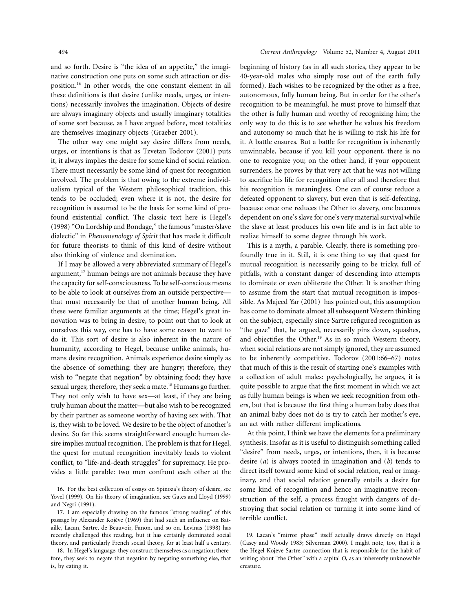and so forth. Desire is "the idea of an appetite," the imaginative construction one puts on some such attraction or disposition.16 In other words, the one constant element in all these definitions is that desire (unlike needs, urges, or intentions) necessarily involves the imagination. Objects of desire are always imaginary objects and usually imaginary totalities of some sort because, as I have argued before, most totalities are themselves imaginary objects (Graeber 2001).

The other way one might say desire differs from needs, urges, or intentions is that as Tzvetan Todorov (2001) puts it, it always implies the desire for some kind of social relation. There must necessarily be some kind of quest for recognition involved. The problem is that owing to the extreme individualism typical of the Western philosophical tradition, this tends to be occluded; even where it is not, the desire for recognition is assumed to be the basis for some kind of profound existential conflict. The classic text here is Hegel's (1998) "On Lordship and Bondage," the famous "master/slave dialectic" in *Phenomenology of Spirit* that has made it difficult for future theorists to think of this kind of desire without also thinking of violence and domination.

If I may be allowed a very abbreviated summary of Hegel's argument,<sup>17</sup> human beings are not animals because they have the capacity for self-consciousness. To be self-conscious means to be able to look at ourselves from an outside perspective that must necessarily be that of another human being. All these were familiar arguments at the time; Hegel's great innovation was to bring in desire, to point out that to look at ourselves this way, one has to have some reason to want to do it. This sort of desire is also inherent in the nature of humanity, according to Hegel, because unlike animals, humans desire recognition. Animals experience desire simply as the absence of something: they are hungry; therefore, they wish to "negate that negation" by obtaining food; they have sexual urges; therefore, they seek a mate.<sup>18</sup> Humans go further. They not only wish to have sex—at least, if they are being truly human about the matter—but also wish to be recognized by their partner as someone worthy of having sex with. That is, they wish to be loved. We desire to be the object of another's desire. So far this seems straightforward enough: human desire implies mutual recognition. The problem is that for Hegel, the quest for mutual recognition inevitably leads to violent conflict, to "life-and-death struggles" for supremacy. He provides a little parable: two men confront each other at the

beginning of history (as in all such stories, they appear to be 40-year-old males who simply rose out of the earth fully formed). Each wishes to be recognized by the other as a free, autonomous, fully human being. But in order for the other's recognition to be meaningful, he must prove to himself that the other is fully human and worthy of recognizing him; the only way to do this is to see whether he values his freedom and autonomy so much that he is willing to risk his life for it. A battle ensures. But a battle for recognition is inherently unwinnable, because if you kill your opponent, there is no one to recognize you; on the other hand, if your opponent surrenders, he proves by that very act that he was not willing to sacrifice his life for recognition after all and therefore that his recognition is meaningless. One can of course reduce a defeated opponent to slavery, but even that is self-defeating, because once one reduces the Other to slavery, one becomes dependent on one's slave for one's very material survival while the slave at least produces his own life and is in fact able to realize himself to some degree through his work.

This is a myth, a parable. Clearly, there is something profoundly true in it. Still, it is one thing to say that quest for mutual recognition is necessarily going to be tricky, full of pitfalls, with a constant danger of descending into attempts to dominate or even obliterate the Other. It is another thing to assume from the start that mutual recognition is impossible. As Majeed Yar (2001) has pointed out, this assumption has come to dominate almost all subsequent Western thinking on the subject, especially since Sartre refigured recognition as "the gaze" that, he argued, necessarily pins down, squashes, and objectifies the Other.<sup>19</sup> As in so much Western theory, when social relations are not simply ignored, they are assumed to be inherently competitive. Todorov (2001:66–67) notes that much of this is the result of starting one's examples with a collection of adult males: psychologically, he argues, it is quite possible to argue that the first moment in which we act as fully human beings is when we seek recognition from others, but that is because the first thing a human baby does that an animal baby does not do is try to catch her mother's eye, an act with rather different implications.

At this point, I think we have the elements for a preliminary synthesis. Insofar as it is useful to distinguish something called "desire" from needs, urges, or intentions, then, it is because desire (*a*) is always rooted in imagination and (*b*) tends to direct itself toward some kind of social relation, real or imaginary, and that social relation generally entails a desire for some kind of recognition and hence an imaginative reconstruction of the self, a process fraught with dangers of destroying that social relation or turning it into some kind of terrible conflict.

19. Lacan's "mirror phase" itself actually draws directly on Hegel (Casey and Woody 1983; Silverman 2000). I might note, too, that it is the Hegel-Kojéve-Sartre connection that is responsible for the habit of writing about "the Other" with a capital *O*, as an inherently unknowable creature.

<sup>16.</sup> For the best collection of essays on Spinoza's theory of desire, see Yovel (1999). On his theory of imagination, see Gates and Lloyd (1999) and Negri (1991).

<sup>17.</sup> I am especially drawing on the famous "strong reading" of this passage by Alexander Kojéve (1969) that had such an influence on Bataille, Lacan, Sartre, de Beauvoir, Fanon, and so on. Levinas (1998) has recently challenged this reading, but it has certainly dominated social theory, and particularly French social theory, for at least half a century.

<sup>18.</sup> In Hegel's language, they construct themselves as a negation; therefore, they seek to negate that negation by negating something else, that is, by eating it.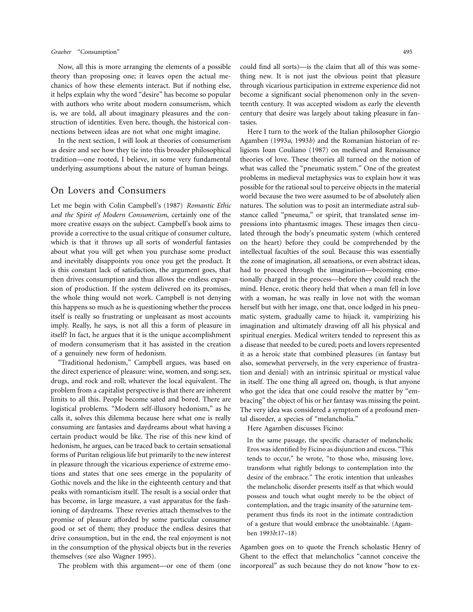Now, all this is more arranging the elements of a possible theory than proposing one; it leaves open the actual mechanics of how these elements interact. But if nothing else, it helps explain why the word "desire" has become so popular with authors who write about modern consumerism, which is, we are told, all about imaginary pleasures and the construction of identities. Even here, though, the historical connections between ideas are not what one might imagine.

In the next section, I will look at theories of consumerism as desire and see how they tie into this broader philosophical tradition—one rooted, I believe, in some very fundamental underlying assumptions about the nature of human beings.

#### On Lovers and Consumers

Let me begin with Colin Campbell's (1987) *Romantic Ethic and the Spirit of Modern Consumerism*, certainly one of the more creative essays on the subject. Campbell's book aims to provide a corrective to the usual critique of consumer culture, which is that it throws up all sorts of wonderful fantasies about what you will get when you purchase some product and inevitably disappoints you once you get the product. It is this constant lack of satisfaction, the argument goes, that then drives consumption and thus allows the endless expansion of production. If the system delivered on its promises, the whole thing would not work. Campbell is not denying this happens so much as he is questioning whether the process itself is really so frustrating or unpleasant as most accounts imply. Really, he says, is not all this a form of pleasure in itself? In fact, he argues that it is the unique accomplishment of modern consumerism that it has assisted in the creation of a genuinely new form of hedonism.

"Traditional hedonism," Campbell argues, was based on the direct experience of pleasure: wine, women, and song; sex, drugs, and rock and roll; whatever the local equivalent. The problem from a capitalist perspective is that there are inherent limits to all this. People become sated and bored. There are logistical problems. "Modern self-illusory hedonism," as he calls it, solves this dilemma because here what one is really consuming are fantasies and daydreams about what having a certain product would be like. The rise of this new kind of hedonism, he argues, can be traced back to certain sensational forms of Puritan religious life but primarily to the new interest in pleasure through the vicarious experience of extreme emotions and states that one sees emerge in the popularity of Gothic novels and the like in the eighteenth century and that peaks with romanticism itself. The result is a social order that has become, in large measure, a vast apparatus for the fashioning of daydreams. These reveries attach themselves to the promise of pleasure afforded by some particular consumer good or set of them; they produce the endless desires that drive consumption, but in the end, the real enjoyment is not in the consumption of the physical objects but in the reveries themselves (see also Wagner 1995).

The problem with this argument—or one of them (one

could find all sorts)—is the claim that all of this was something new. It is not just the obvious point that pleasure through vicarious participation in extreme experience did not become a significant social phenomenon only in the seventeenth century. It was accepted wisdom as early the eleventh century that desire was largely about taking pleasure in fantasies.

Here I turn to the work of the Italian philosopher Giorgio Agamben (1993*a*, 1993*b*) and the Romanian historian of religions Ioan Couliano (1987) on medieval and Renaissance theories of love. These theories all turned on the notion of what was called the "pneumatic system." One of the greatest problems in medieval metaphysics was to explain how it was possible for the rational soul to perceive objects in the material world because the two were assumed to be of absolutely alien natures. The solution was to posit an intermediate astral substance called "pneuma," or spirit, that translated sense impressions into phantasmic images. These images then circulated through the body's pneumatic system (which centered on the heart) before they could be comprehended by the intellectual faculties of the soul. Because this was essentially the zone of imagination, all sensations, or even abstract ideas, had to proceed through the imagination—becoming emotionally charged in the process—before they could reach the mind. Hence, erotic theory held that when a man fell in love with a woman, he was really in love not with the woman herself but with her image, one that, once lodged in his pneumatic system, gradually came to hijack it, vampirizing his imagination and ultimately drawing off all his physical and spiritual energies. Medical writers tended to represent this as a disease that needed to be cured; poets and lovers represented it as a heroic state that combined pleasures (in fantasy but also, somewhat perversely, in the very experience of frustration and denial) with an intrinsic spiritual or mystical value in itself. The one thing all agreed on, though, is that anyone who got the idea that one could resolve the matter by "embracing" the object of his or her fantasy was missing the point. The very idea was considered a symptom of a profound mental disorder, a species of "melancholia."

Here Agamben discusses Ficino:

In the same passage, the specific character of melancholic Eros was identified by Ficino as disjunction and excess. "This tends to occur," he wrote, "to those who, misusing love, transform what rightly belongs to contemplation into the desire of the embrace." The erotic intention that unleashes the melancholic disorder presents itself as that which would possess and touch what ought merely to be the object of contemplation, and the tragic insanity of the saturnine temperament thus finds its root in the intimate contradiction of a gesture that would embrace the unobtainable. (Agamben 1993*b*:17–18)

Agamben goes on to quote the French scholastic Henry of Ghent to the effect that melancholics "cannot conceive the incorporeal" as such because they do not know "how to ex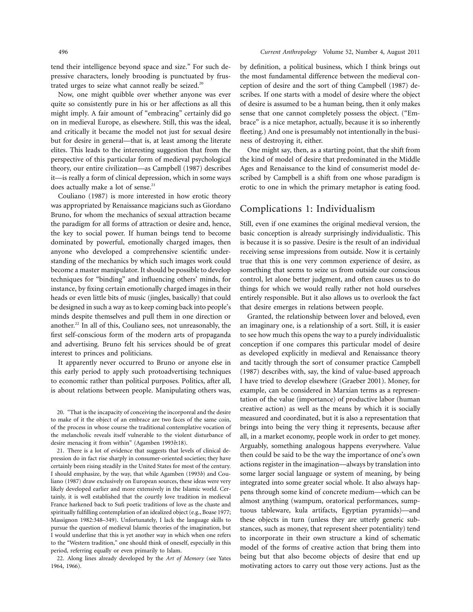tend their intelligence beyond space and size." For such depressive characters, lonely brooding is punctuated by frustrated urges to seize what cannot really be seized.<sup>20</sup>

Now, one might quibble over whether anyone was ever quite so consistently pure in his or her affections as all this might imply. A fair amount of "embracing" certainly did go on in medieval Europe, as elsewhere. Still, this was the ideal, and critically it became the model not just for sexual desire but for desire in general—that is, at least among the literate elites. This leads to the interesting suggestion that from the perspective of this particular form of medieval psychological theory, our entire civilization—as Campbell (1987) describes it—is really a form of clinical depression, which in some ways does actually make a lot of sense.<sup>21</sup>

Couliano (1987) is more interested in how erotic theory was appropriated by Renaissance magicians such as Giordano Bruno, for whom the mechanics of sexual attraction became the paradigm for all forms of attraction or desire and, hence, the key to social power. If human beings tend to become dominated by powerful, emotionally charged images, then anyone who developed a comprehensive scientific understanding of the mechanics by which such images work could become a master manipulator. It should be possible to develop techniques for "binding" and influencing others' minds, for instance, by fixing certain emotionally charged images in their heads or even little bits of music (jingles, basically) that could be designed in such a way as to keep coming back into people's minds despite themselves and pull them in one direction or another.22 In all of this, Couliano sees, not unreasonably, the first self-conscious form of the modern arts of propaganda and advertising. Bruno felt his services should be of great interest to princes and politicians.

It apparently never occurred to Bruno or anyone else in this early period to apply such protoadvertising techniques to economic rather than political purposes. Politics, after all, is about relations between people. Manipulating others was,

20. "That is the incapacity of conceiving the incorporeal and the desire to make of it the object of an embrace are two faces of the same coin, of the process in whose course the traditional contemplative vocation of the melancholic reveals itself vulnerable to the violent disturbance of desire menacing it from within" (Agamben 1993*b*:18).

21. There is a lot of evidence that suggests that levels of clinical depression do in fact rise sharply in consumer-oriented societies; they have certainly been rising steadily in the United States for most of the century. I should emphasize, by the way, that while Agamben (1993*b*) and Couliano (1987) draw exclusively on European sources, these ideas were very likely developed earlier and more extensively in the Islamic world. Certainly, it is well established that the courtly love tradition in medieval France harkened back to Sufi poetic traditions of love as the chaste and spiritually fulfilling contemplation of an idealized object (e.g., Boase 1977; Massignon 1982:348–349). Unfortunately, I lack the language skills to pursue the question of medieval Islamic theories of the imagination, but I would underline that this is yet another way in which when one refers to the "Western tradition," one should think of oneself, especially in this period, referring equally or even primarily to Islam.

22. Along lines already developed by the *Art of Memory* (see Yates 1964, 1966).

by definition, a political business, which I think brings out the most fundamental difference between the medieval conception of desire and the sort of thing Campbell (1987) describes. If one starts with a model of desire where the object of desire is assumed to be a human being, then it only makes sense that one cannot completely possess the object. ("Embrace" is a nice metaphor, actually, because it is so inherently fleeting.) And one is presumably not intentionally in the business of destroying it, either.

One might say, then, as a starting point, that the shift from the kind of model of desire that predominated in the Middle Ages and Renaissance to the kind of consumerist model described by Campbell is a shift from one whose paradigm is erotic to one in which the primary metaphor is eating food.

### Complications 1: Individualism

Still, even if one examines the original medieval version, the basic conception is already surprisingly individualistic. This is because it is so passive. Desire is the result of an individual receiving sense impressions from outside. Now it is certainly true that this is one very common experience of desire, as something that seems to seize us from outside our conscious control, let alone better judgment, and often causes us to do things for which we would really rather not hold ourselves entirely responsible. But it also allows us to overlook the fact that desire emerges in relations between people.

Granted, the relationship between lover and beloved, even an imaginary one, is a relationship of a sort. Still, it is easier to see how much this opens the way to a purely individualistic conception if one compares this particular model of desire as developed explicitly in medieval and Renaissance theory and tacitly through the sort of consumer practice Campbell (1987) describes with, say, the kind of value-based approach I have tried to develop elsewhere (Graeber 2001). Money, for example, can be considered in Marxian terms as a representation of the value (importance) of productive labor (human creative action) as well as the means by which it is socially measured and coordinated, but it is also a representation that brings into being the very thing it represents, because after all, in a market economy, people work in order to get money. Arguably, something analogous happens everywhere. Value then could be said to be the way the importance of one's own actions register in the imagination—always by translation into some larger social language or system of meaning, by being integrated into some greater social whole. It also always happens through some kind of concrete medium—which can be almost anything (wampum, oratorical performances, sumptuous tableware, kula artifacts, Egyptian pyramids)—and these objects in turn (unless they are utterly generic substances, such as money, that represent sheer potentiality) tend to incorporate in their own structure a kind of schematic model of the forms of creative action that bring them into being but that also become objects of desire that end up motivating actors to carry out those very actions. Just as the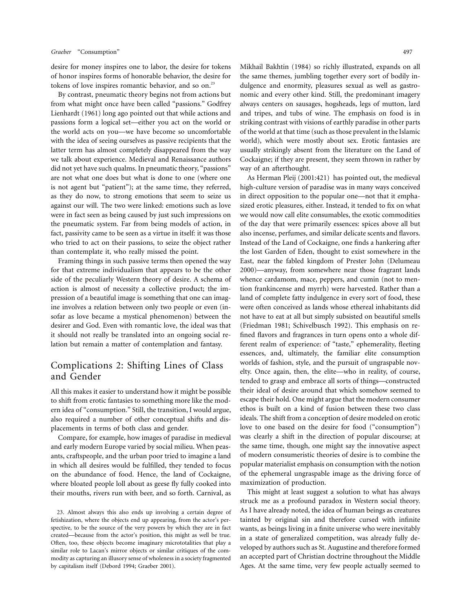desire for money inspires one to labor, the desire for tokens of honor inspires forms of honorable behavior, the desire for tokens of love inspires romantic behavior, and so on.<sup>23</sup>

By contrast, pneumatic theory begins not from actions but from what might once have been called "passions." Godfrey Lienhardt (1961) long ago pointed out that while actions and passions form a logical set—either you act on the world or the world acts on you—we have become so uncomfortable with the idea of seeing ourselves as passive recipients that the latter term has almost completely disappeared from the way we talk about experience. Medieval and Renaissance authors did not yet have such qualms. In pneumatic theory, "passions" are not what one does but what is done to one (where one is not agent but "patient"); at the same time, they referred, as they do now, to strong emotions that seem to seize us against our will. The two were linked: emotions such as love were in fact seen as being caused by just such impressions on the pneumatic system. Far from being models of action, in fact, passivity came to be seen as a virtue in itself: it was those who tried to act on their passions, to seize the object rather than contemplate it, who really missed the point.

Framing things in such passive terms then opened the way for that extreme individualism that appears to be the other side of the peculiarly Western theory of desire. A schema of action is almost of necessity a collective product; the impression of a beautiful image is something that one can imagine involves a relation between only two people or even (insofar as love became a mystical phenomenon) between the desirer and God. Even with romantic love, the ideal was that it should not really be translated into an ongoing social relation but remain a matter of contemplation and fantasy.

## Complications 2: Shifting Lines of Class and Gender

All this makes it easier to understand how it might be possible to shift from erotic fantasies to something more like the modern idea of "consumption." Still, the transition, I would argue, also required a number of other conceptual shifts and displacements in terms of both class and gender.

Compare, for example, how images of paradise in medieval and early modern Europe varied by social milieu. When peasants, craftspeople, and the urban poor tried to imagine a land in which all desires would be fulfilled, they tended to focus on the abundance of food. Hence, the land of Cockaigne, where bloated people loll about as geese fly fully cooked into their mouths, rivers run with beer, and so forth. Carnival, as Mikhail Bakhtin (1984) so richly illustrated, expands on all the same themes, jumbling together every sort of bodily indulgence and enormity, pleasures sexual as well as gastronomic and every other kind. Still, the predominant imagery always centers on sausages, hogsheads, legs of mutton, lard and tripes, and tubs of wine. The emphasis on food is in striking contrast with visions of earthly paradise in other parts of the world at that time (such as those prevalent in the Islamic world), which were mostly about sex. Erotic fantasies are usually strikingly absent from the literature on the Land of Cockaigne; if they are present, they seem thrown in rather by way of an afterthought.

As Herman Pleij (2001:421) has pointed out, the medieval high-culture version of paradise was in many ways conceived in direct opposition to the popular one—not that it emphasized erotic pleasures, either. Instead, it tended to fix on what we would now call elite consumables, the exotic commodities of the day that were primarily essences: spices above all but also incense, perfumes, and similar delicate scents and flavors. Instead of the Land of Cockaigne, one finds a hankering after the lost Garden of Eden, thought to exist somewhere in the East, near the fabled kingdom of Prester John (Delumeau 2000)—anyway, from somewhere near those fragrant lands whence cardamom, mace, peppers, and cumin (not to mention frankincense and myrrh) were harvested. Rather than a land of complete fatty indulgence in every sort of food, these were often conceived as lands whose ethereal inhabitants did not have to eat at all but simply subsisted on beautiful smells (Friedman 1981; Schivelbusch 1992). This emphasis on refined flavors and fragrances in turn opens onto a whole different realm of experience: of "taste," ephemerality, fleeting essences, and, ultimately, the familiar elite consumption worlds of fashion, style, and the pursuit of ungraspable novelty. Once again, then, the elite—who in reality, of course, tended to grasp and embrace all sorts of things—constructed their ideal of desire around that which somehow seemed to escape their hold. One might argue that the modern consumer ethos is built on a kind of fusion between these two class ideals. The shift from a conception of desire modeled on erotic love to one based on the desire for food ("consumption") was clearly a shift in the direction of popular discourse; at the same time, though, one might say the innovative aspect of modern consumeristic theories of desire is to combine the popular materialist emphasis on consumption with the notion of the ephemeral ungraspable image as the driving force of maximization of production.

This might at least suggest a solution to what has always struck me as a profound paradox in Western social theory. As I have already noted, the idea of human beings as creatures tainted by original sin and therefore cursed with infinite wants, as beings living in a finite universe who were inevitably in a state of generalized competition, was already fully developed by authors such as St. Augustine and therefore formed an accepted part of Christian doctrine throughout the Middle Ages. At the same time, very few people actually seemed to

<sup>23.</sup> Almost always this also ends up involving a certain degree of fetishization, where the objects end up appearing, from the actor's perspective, to be the source of the very powers by which they are in fact created—because from the actor's position, this might as well be true. Often, too, these objects become imaginary micrototalities that play a similar role to Lacan's mirror objects or similar critiques of the commodity as capturing an illusory sense of wholeness in a society fragmented by capitalism itself (Debord 1994; Graeber 2001).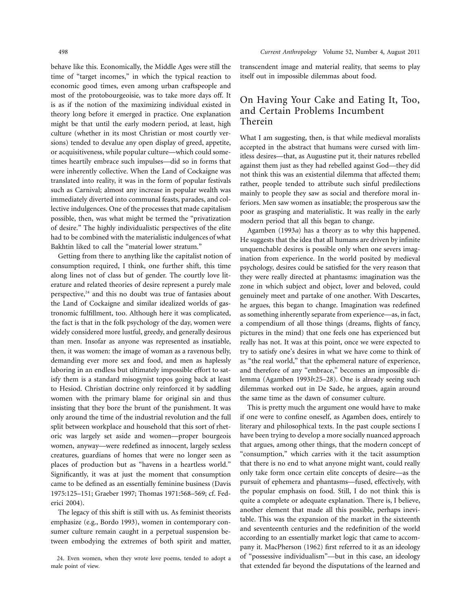behave like this. Economically, the Middle Ages were still the time of "target incomes," in which the typical reaction to economic good times, even among urban craftspeople and most of the protobourgeoisie, was to take more days off. It is as if the notion of the maximizing individual existed in theory long before it emerged in practice. One explanation might be that until the early modern period, at least, high culture (whether in its most Christian or most courtly versions) tended to devalue any open display of greed, appetite, or acquisitiveness, while popular culture—which could sometimes heartily embrace such impulses—did so in forms that were inherently collective. When the Land of Cockaigne was translated into reality, it was in the form of popular festivals such as Carnival; almost any increase in popular wealth was immediately diverted into communal feasts, parades, and collective indulgences. One of the processes that made capitalism possible, then, was what might be termed the "privatization of desire." The highly individualistic perspectives of the elite had to be combined with the materialistic indulgences of what Bakhtin liked to call the "material lower stratum."

Getting from there to anything like the capitalist notion of consumption required, I think, one further shift, this time along lines not of class but of gender. The courtly love literature and related theories of desire represent a purely male perspective, $24$  and this no doubt was true of fantasies about the Land of Cockaigne and similar idealized worlds of gastronomic fulfillment, too. Although here it was complicated, the fact is that in the folk psychology of the day, women were widely considered more lustful, greedy, and generally desirous than men. Insofar as anyone was represented as insatiable, then, it was women: the image of woman as a ravenous belly, demanding ever more sex and food, and men as haplessly laboring in an endless but ultimately impossible effort to satisfy them is a standard misogynist topos going back at least to Hesiod. Christian doctrine only reinforced it by saddling women with the primary blame for original sin and thus insisting that they bore the brunt of the punishment. It was only around the time of the industrial revolution and the full split between workplace and household that this sort of rhetoric was largely set aside and women—proper bourgeois women, anyway—were redefined as innocent, largely sexless creatures, guardians of homes that were no longer seen as places of production but as "havens in a heartless world." Significantly, it was at just the moment that consumption came to be defined as an essentially feminine business (Davis 1975:125–151; Graeber 1997; Thomas 1971:568–569; cf. Federici 2004).

The legacy of this shift is still with us. As feminist theorists emphasize (e.g., Bordo 1993), women in contemporary consumer culture remain caught in a perpetual suspension between embodying the extremes of both spirit and matter,

transcendent image and material reality, that seems to play itself out in impossible dilemmas about food.

## On Having Your Cake and Eating It, Too, and Certain Problems Incumbent Therein

What I am suggesting, then, is that while medieval moralists accepted in the abstract that humans were cursed with limitless desires—that, as Augustine put it, their natures rebelled against them just as they had rebelled against God—they did not think this was an existential dilemma that affected them; rather, people tended to attribute such sinful predilections mainly to people they saw as social and therefore moral inferiors. Men saw women as insatiable; the prosperous saw the poor as grasping and materialistic. It was really in the early modern period that all this began to change.

Agamben (1993*a*) has a theory as to why this happened. He suggests that the idea that all humans are driven by infinite unquenchable desires is possible only when one severs imagination from experience. In the world posited by medieval psychology, desires could be satisfied for the very reason that they were really directed at phantasms: imagination was the zone in which subject and object, lover and beloved, could genuinely meet and partake of one another. With Descartes, he argues, this began to change. Imagination was redefined as something inherently separate from experience—as, in fact, a compendium of all those things (dreams, flights of fancy, pictures in the mind) that one feels one has experienced but really has not. It was at this point, once we were expected to try to satisfy one's desires in what we have come to think of as "the real world," that the ephemeral nature of experience, and therefore of any "embrace," becomes an impossible dilemma (Agamben 1993*b*:25–28). One is already seeing such dilemmas worked out in De Sade, he argues, again around the same time as the dawn of consumer culture.

This is pretty much the argument one would have to make if one were to confine oneself, as Agamben does, entirely to literary and philosophical texts. In the past couple sections I have been trying to develop a more socially nuanced approach that argues, among other things, that the modern concept of "consumption," which carries with it the tacit assumption that there is no end to what anyone might want, could really only take form once certain elite concepts of desire—as the pursuit of ephemera and phantasms—fused, effectively, with the popular emphasis on food. Still, I do not think this is quite a complete or adequate explanation. There is, I believe, another element that made all this possible, perhaps inevitable. This was the expansion of the market in the sixteenth and seventeenth centuries and the redefinition of the world according to an essentially market logic that came to accompany it. MacPherson (1962) first referred to it as an ideology of "possessive individualism"—but in this case, an ideology that extended far beyond the disputations of the learned and

<sup>24.</sup> Even women, when they wrote love poems, tended to adopt a male point of view.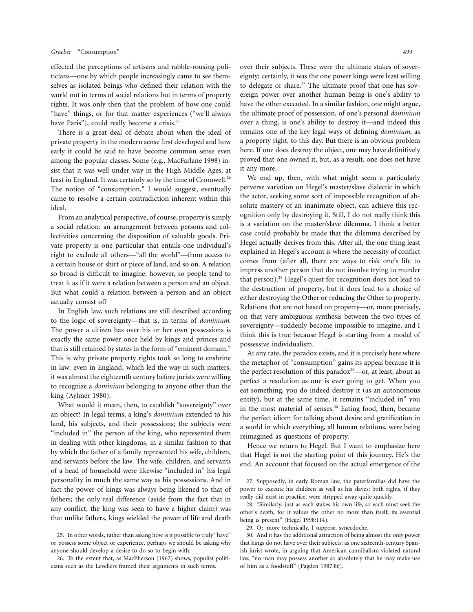effected the perceptions of artisans and rabble-rousing politicians—one by which people increasingly came to see themselves as isolated beings who defined their relation with the world not in terms of social relations but in terms of property rights. It was only then that the problem of how one could "have" things, or for that matter experiences ("we'll always have Paris"), could really become a crisis.<sup>25</sup>

There is a great deal of debate about when the ideal of private property in the modern sense first developed and how early it could be said to have become common sense even among the popular classes. Some (e.g., MacFarlane 1998) insist that it was well under way in the High Middle Ages, at least in England. It was certainly so by the time of Cromwell.<sup>26</sup> The notion of "consumption," I would suggest, eventually came to resolve a certain contradiction inherent within this ideal.

From an analytical perspective, of course, property is simply a social relation: an arrangement between persons and collectivities concerning the disposition of valuable goods. Private property is one particular that entails one individual's right to exclude all others—"all the world"—from access to a certain house or shirt or piece of land, and so on. A relation so broad is difficult to imagine, however, so people tend to treat it as if it were a relation between a person and an object. But what could a relation between a person and an object actually consist of?

In English law, such relations are still described according to the logic of sovereignty—that is, in terms of *dominium*. The power a citizen has over his or her own possessions is exactly the same power once held by kings and princes and that is still retained by states in the form of "eminent domain." This is why private property rights took so long to enshrine in law: even in England, which led the way in such matters, it was almost the eighteenth century before jurists were willing to recognize a *dominium* belonging to anyone other than the king (Aylmer 1980).

What would it mean, then, to establish "sovereignty" over an object? In legal terms, a king's *dominium* extended to his land, his subjects, and their possessions; the subjects were "included in" the person of the king, who represented them in dealing with other kingdoms, in a similar fashion to that by which the father of a family represented his wife, children, and servants before the law. The wife, children, and servants of a head of household were likewise "included in" his legal personality in much the same way as his possessions. And in fact the power of kings was always being likened to that of fathers; the only real difference (aside from the fact that in any conflict, the king was seen to have a higher claim) was that unlike fathers, kings wielded the power of life and death

over their subjects. These were the ultimate stakes of sovereignty; certainly, it was the one power kings were least willing to delegate or share.<sup>27</sup> The ultimate proof that one has sovereign power over another human being is one's ability to have the other executed. In a similar fashion, one might argue, the ultimate proof of possession, of one's personal *dominium* over a thing, is one's ability to destroy it—and indeed this remains one of the key legal ways of defining *dominium*, as a property right, to this day. But there is an obvious problem here. If one does destroy the object, one may have definitively proved that one owned it, but, as a result, one does not have it any more.

We end up, then, with what might seem a particularly perverse variation on Hegel's master/slave dialectic in which the actor, seeking some sort of impossible recognition of absolute mastery of an inanimate object, can achieve this recognition only by destroying it. Still, I do not really think this is a variation on the master/slave dilemma. I think a better case could probably be made that the dilemma described by Hegel actually derives from this. After all, the one thing least explained in Hegel's account is where the necessity of conflict comes from (after all, there are ways to risk one's life to impress another person that do not involve trying to murder that person).28 Hegel's quest for recognition does not lead to the destruction of property, but it does lead to a choice of either destroying the Other or reducing the Other to property. Relations that are not based on property—or, more precisely, on that very ambiguous synthesis between the two types of sovereignty—suddenly become impossible to imagine, and I think this is true because Hegel is starting from a model of possessive individualism.

At any rate, the paradox exists, and it is precisely here where the metaphor of "consumption" gains its appeal because it is the perfect resolution of this paradox $29$ —or, at least, about as perfect a resolution as one is ever going to get. When you eat something, you do indeed destroy it (as an autonomous entity), but at the same time, it remains "included in" you in the most material of senses.<sup>30</sup> Eating food, then, became the perfect idiom for talking about desire and gratification in a world in which everything, all human relations, were being reimagined as questions of property.

Hence we return to Hegel. But I want to emphasize here that Hegel is not the starting point of this journey. He's the end. An account that focused on the actual emergence of the

28. "Similarly, just as each stakes his own life, so each must seek the other's death, for it values the other no more than itself; its essential being is present" (Hegel 1998:114).

30. And it has the additional attraction of being almost the only power that kings do not have over their subjects: as one sixteenth-century Spanish jurist wrote, in arguing that American cannibalism violated natural law, "no man may possess another so absolutely that he may make use of him as a foodstuff" (Pagden 1987:86).

<sup>25.</sup> In other words, rather than asking how is it possible to truly "have" or possess some object or experience, perhaps we should be asking why anyone should develop a desire to do so to begin with.

<sup>26.</sup> To the extent that, as MacPherson (1962) shows, populist politicians such as the Levellers framed their arguments in such terms.

<sup>27.</sup> Supposedly, in early Roman law, the paterfamilias did have the power to execute his children as well as his slaves; both rights, if they really did exist in practice, were stripped away quite quickly.

<sup>29.</sup> Or, more technically, I suppose, synecdoche.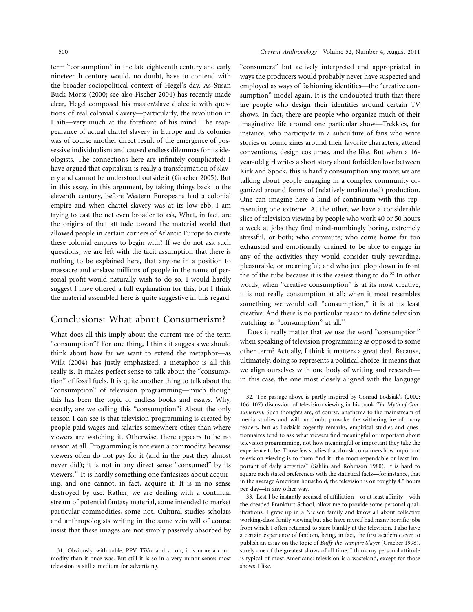term "consumption" in the late eighteenth century and early nineteenth century would, no doubt, have to contend with the broader sociopolitical context of Hegel's day. As Susan Buck-Morss (2000; see also Fischer 2004) has recently made clear, Hegel composed his master/slave dialectic with questions of real colonial slavery—particularly, the revolution in Haiti—very much at the forefront of his mind. The reappearance of actual chattel slavery in Europe and its colonies was of course another direct result of the emergence of possessive individualism and caused endless dilemmas for its ideologists. The connections here are infinitely complicated: I have argued that capitalism is really a transformation of slavery and cannot be understood outside it (Graeber 2005). But in this essay, in this argument, by taking things back to the eleventh century, before Western Europeans had a colonial empire and when chattel slavery was at its low ebb, I am trying to cast the net even broader to ask, What, in fact, are the origins of that attitude toward the material world that allowed people in certain corners of Atlantic Europe to create these colonial empires to begin with? If we do not ask such questions, we are left with the tacit assumption that there is nothing to be explained here, that anyone in a position to massacre and enslave millions of people in the name of personal profit would naturally wish to do so. I would hardly suggest I have offered a full explanation for this, but I think the material assembled here is quite suggestive in this regard.

#### Conclusions: What about Consumerism?

What does all this imply about the current use of the term "consumption"? For one thing, I think it suggests we should think about how far we want to extend the metaphor—as Wilk (2004) has justly emphasized, a metaphor is all this really is. It makes perfect sense to talk about the "consumption" of fossil fuels. It is quite another thing to talk about the "consumption" of television programming—much though this has been the topic of endless books and essays. Why, exactly, are we calling this "consumption"? About the only reason I can see is that television programming is created by people paid wages and salaries somewhere other than where viewers are watching it. Otherwise, there appears to be no reason at all. Programming is not even a commodity, because viewers often do not pay for it (and in the past they almost never did); it is not in any direct sense "consumed" by its viewers.<sup>31</sup> It is hardly something one fantasizes about acquiring, and one cannot, in fact, acquire it. It is in no sense destroyed by use. Rather, we are dealing with a continual stream of potential fantasy material, some intended to market particular commodities, some not. Cultural studies scholars and anthropologists writing in the same vein will of course insist that these images are not simply passively absorbed by

"consumers" but actively interpreted and appropriated in ways the producers would probably never have suspected and employed as ways of fashioning identities—the "creative consumption" model again. It is the undoubted truth that there are people who design their identities around certain TV shows. In fact, there are people who organize much of their imaginative life around one particular show—Trekkies, for instance, who participate in a subculture of fans who write stories or comic zines around their favorite characters, attend conventions, design costumes, and the like. But when a 16 year-old girl writes a short story about forbidden love between Kirk and Spock, this is hardly consumption any more; we are talking about people engaging in a complex community organized around forms of (relatively unalienated) production. One can imagine here a kind of continuum with this representing one extreme. At the other, we have a considerable slice of television viewing by people who work 40 or 50 hours a week at jobs they find mind-numbingly boring, extremely stressful, or both; who commute; who come home far too exhausted and emotionally drained to be able to engage in any of the activities they would consider truly rewarding, pleasurable, or meaningful; and who just plop down in front the of the tube because it is the easiest thing to  $do.^{32}$  In other words, when "creative consumption" is at its most creative, it is not really consumption at all; when it most resembles something we would call "consumption," it is at its least creative. And there is no particular reason to define television watching as "consumption" at all.<sup>33</sup>

Does it really matter that we use the word "consumption" when speaking of television programming as opposed to some other term? Actually, I think it matters a great deal. Because, ultimately, doing so represents a political choice: it means that we align ourselves with one body of writing and research in this case, the one most closely aligned with the language

32. The passage above is partly inspired by Conrad Lodziak's (2002: 106–107) discussion of television viewing in his book *The Myth of Consumerism*. Such thoughts are, of course, anathema to the mainstream of media studies and will no doubt provoke the withering ire of many readers, but as Lodziak cogently remarks, empirical studies and questionnaires tend to ask what viewers find meaningful or important about television programming, not how meaningful or important they take the experience to be. Those few studies that do ask consumers how important television viewing is to them find it "the most expendable or least important of daily activities" (Sahlin and Robinson 1980). It is hard to square such stated preferences with the statistical facts—for instance, that in the average American household, the television is on roughly 4.5 hours per day—in any other way.

33. Lest I be instantly accused of affiliation—or at least affinity—with the dreaded Frankfurt School, allow me to provide some personal qualifications. I grew up in a Nielsen family and know all about collective working-class family viewing but also have myself had many horrific jobs from which I often returned to stare blankly at the television. I also have a certain experience of fandom, being, in fact, the first academic ever to publish an essay on the topic of *Buffy the Vampire Slayer* (Graeber 1998), surely one of the greatest shows of all time. I think my personal attitude is typical of most Americans: television is a wasteland, except for those shows I like.

<sup>31.</sup> Obviously, with cable, PPV, TiVo, and so on, it is more a commodity than it once was. But still it is so in a very minor sense: most television is still a medium for advertising.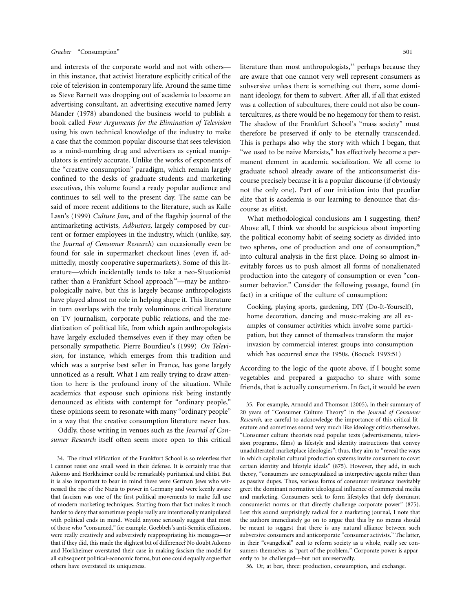and interests of the corporate world and not with others in this instance, that activist literature explicitly critical of the role of television in contemporary life. Around the same time as Steve Barnett was dropping out of academia to become an advertising consultant, an advertising executive named Jerry Mander (1978) abandoned the business world to publish a book called *Four Arguments for the Elimination of Television* using his own technical knowledge of the industry to make a case that the common popular discourse that sees television as a mind-numbing drug and advertisers as cynical manipulators is entirely accurate. Unlike the works of exponents of the "creative consumption" paradigm, which remain largely confined to the desks of graduate students and marketing executives, this volume found a ready popular audience and continues to sell well to the present day. The same can be said of more recent additions to the literature, such as Kalle Lasn's (1999) *Culture Jam*, and of the flagship journal of the antimarketing activists, *Adbusters*, largely composed by current or former employees in the industry, which (unlike, say, the *Journal of Consumer Research*) can occasionally even be found for sale in supermarket checkout lines (even if, admittedly, mostly cooperative supermarkets). Some of this literature—which incidentally tends to take a neo-Situationist rather than a Frankfurt School approach $34$ —may be anthropologically naive, but this is largely because anthropologists have played almost no role in helping shape it. This literature in turn overlaps with the truly voluminous critical literature on TV journalism, corporate public relations, and the mediatization of political life, from which again anthropologists have largely excluded themselves even if they may often be personally sympathetic. Pierre Bourdieu's (1999) *On Television*, for instance, which emerges from this tradition and which was a surprise best seller in France, has gone largely unnoticed as a result. What I am really trying to draw attention to here is the profound irony of the situation. While academics that espouse such opinions risk being instantly denounced as elitists with contempt for "ordinary people," these opinions seem to resonate with many "ordinary people" in a way that the creative consumption literature never has.

Oddly, those writing in venues such as the *Journal of Consumer Research* itself often seem more open to this critical

34. The ritual vilification of the Frankfurt School is so relentless that I cannot resist one small word in their defense. It is certainly true that Adorno and Horkheimer could be remarkably puritanical and elitist. But it is also important to bear in mind these were German Jews who witnessed the rise of the Nazis to power in Germany and were keenly aware that fascism was one of the first political movements to make full use of modern marketing techniques. Starting from that fact makes it much harder to deny that sometimes people really are intentionally manipulated with political ends in mind. Would anyone seriously suggest that most of those who "consumed," for example, Goebbels's anti-Semitic effusions, were really creatively and subversively reappropriating his messages—or that if they did, this made the slightest bit of difference? No doubt Adorno and Horkheimer overstated their case in making fascism the model for all subsequent political-economic forms, but one could equally argue that others have overstated its uniqueness.

literature than most anthropologists, $35$  perhaps because they are aware that one cannot very well represent consumers as subversive unless there is something out there, some dominant ideology, for them to subvert. After all, if all that existed was a collection of subcultures, there could not also be countercultures, as there would be no hegemony for them to resist. The shadow of the Frankfurt School's "mass society" must therefore be preserved if only to be eternally transcended. This is perhaps also why the story with which I began, that "we used to be naive Marxists," has effectively become a permanent element in academic socialization. We all come to graduate school already aware of the anticonsumerist discourse precisely because it is a popular discourse (if obviously not the only one). Part of our initiation into that peculiar elite that is academia is our learning to denounce that discourse as elitist.

What methodological conclusions am I suggesting, then? Above all, I think we should be suspicious about importing the political economy habit of seeing society as divided into two spheres, one of production and one of consumption,<sup>36</sup> into cultural analysis in the first place. Doing so almost inevitably forces us to push almost all forms of nonalienated production into the category of consumption or even "consumer behavior." Consider the following passage, found (in fact) in a critique of the culture of consumption:

Cooking, playing sports, gardening, DIY (Do-It-Yourself), home decoration, dancing and music-making are all examples of consumer activities which involve some participation, but they cannot of themselves transform the major invasion by commercial interest groups into consumption which has occurred since the 1950s. (Bocock 1993:51)

According to the logic of the quote above, if I bought some vegetables and prepared a gazpacho to share with some friends, that is actually consumerism. In fact, it would be even

35. For example, Arnould and Thomson (2005), in their summary of 20 years of "Consumer Culture Theory" in the *Journal of Consumer Research*, are careful to acknowledge the importance of this critical literature and sometimes sound very much like ideology critics themselves. "Consumer culture theorists read popular texts (advertisements, television programs, films) as lifestyle and identity instructions that convey unadulterated marketplace ideologies"; thus, they aim to "reveal the ways in which capitalist cultural production systems invite consumers to covet certain identity and lifestyle ideals" (875). However, they add, in such theory, "consumers are conceptualized as interpretive agents rather than as passive dupes. Thus, various forms of consumer resistance inevitably greet the dominant normative ideological influence of commercial media and marketing. Consumers seek to form lifestyles that defy dominant consumerist norms or that directly challenge corporate power" (875). Lest this sound surprisingly radical for a marketing journal, I note that the authors immediately go on to argue that this by no means should be meant to suggest that there is any natural alliance between such subversive consumers and anticorporate "consumer activists." The latter, in their "evangelical" zeal to reform society as a whole, really see consumers themselves as "part of the problem." Corporate power is apparently to be challenged—but not unreservedly.

36. Or, at best, three: production, consumption, and exchange.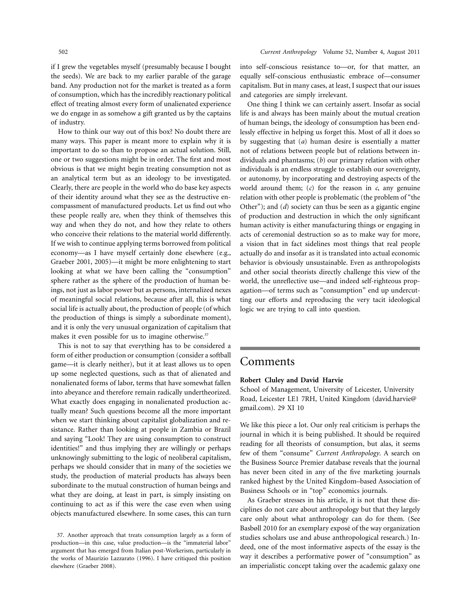if I grew the vegetables myself (presumably because I bought the seeds). We are back to my earlier parable of the garage band. Any production not for the market is treated as a form of consumption, which has the incredibly reactionary political effect of treating almost every form of unalienated experience we do engage in as somehow a gift granted us by the captains of industry.

How to think our way out of this box? No doubt there are many ways. This paper is meant more to explain why it is important to do so than to propose an actual solution. Still, one or two suggestions might be in order. The first and most obvious is that we might begin treating consumption not as an analytical term but as an ideology to be investigated. Clearly, there are people in the world who do base key aspects of their identity around what they see as the destructive encompassment of manufactured products. Let us find out who these people really are, when they think of themselves this way and when they do not, and how they relate to others who conceive their relations to the material world differently. If we wish to continue applying terms borrowed from political economy—as I have myself certainly done elsewhere (e.g., Graeber 2001, 2005)—it might be more enlightening to start looking at what we have been calling the "consumption" sphere rather as the sphere of the production of human beings, not just as labor power but as persons, internalized nexes of meaningful social relations, because after all, this is what social life is actually about, the production of people (of which the production of things is simply a subordinate moment), and it is only the very unusual organization of capitalism that makes it even possible for us to imagine otherwise.<sup>37</sup>

This is not to say that everything has to be considered a form of either production or consumption (consider a softball game—it is clearly neither), but it at least allows us to open up some neglected questions, such as that of alienated and nonalienated forms of labor, terms that have somewhat fallen into abeyance and therefore remain radically undertheorized. What exactly does engaging in nonalienated production actually mean? Such questions become all the more important when we start thinking about capitalist globalization and resistance. Rather than looking at people in Zambia or Brazil and saying "Look! They are using consumption to construct identities!" and thus implying they are willingly or perhaps unknowingly submitting to the logic of neoliberal capitalism, perhaps we should consider that in many of the societies we study, the production of material products has always been subordinate to the mutual construction of human beings and what they are doing, at least in part, is simply insisting on continuing to act as if this were the case even when using objects manufactured elsewhere. In some cases, this can turn into self-conscious resistance to—or, for that matter, an equally self-conscious enthusiastic embrace of—consumer capitalism. But in many cases, at least, I suspect that our issues and categories are simply irrelevant.

One thing I think we can certainly assert. Insofar as social life is and always has been mainly about the mutual creation of human beings, the ideology of consumption has been endlessly effective in helping us forget this. Most of all it does so by suggesting that (*a*) human desire is essentially a matter not of relations between people but of relations between individuals and phantasms; (*b*) our primary relation with other individuals is an endless struggle to establish our sovereignty, or autonomy, by incorporating and destroying aspects of the world around them; (*c*) for the reason in *c*, any genuine relation with other people is problematic (the problem of "the Other"); and (*d*) society can thus be seen as a gigantic engine of production and destruction in which the only significant human activity is either manufacturing things or engaging in acts of ceremonial destruction so as to make way for more, a vision that in fact sidelines most things that real people actually do and insofar as it is translated into actual economic behavior is obviously unsustainable. Even as anthropologists and other social theorists directly challenge this view of the world, the unreflective use—and indeed self-righteous propagation—of terms such as "consumption" end up undercutting our efforts and reproducing the very tacit ideological logic we are trying to call into question.

## Comments

#### **Robert Cluley and David Harvie**

School of Management, University of Leicester, University Road, Leicester LE1 7RH, United Kingdom [\(david.harvie@](mailto:david.harvie@gmail.com) [gmail.com\)](mailto:david.harvie@gmail.com). 29 XI 10

We like this piece a lot. Our only real criticism is perhaps the journal in which it is being published. It should be required reading for all theorists of consumption, but alas, it seems few of them "consume" *Current Anthropology*. A search on the Business Source Premier database reveals that the journal has never been cited in any of the five marketing journals ranked highest by the United Kingdom–based Association of Business Schools or in "top" economics journals.

As Graeber stresses in his article, it is not that these disciplines do not care about anthropology but that they largely care only about what anthropology can do for them. (See Basbøll 2010 for an exemplary exposé of the way organization studies scholars use and abuse anthropological research.) Indeed, one of the most informative aspects of the essay is the way it describes a performative power of "consumption" as an imperialistic concept taking over the academic galaxy one

<sup>37.</sup> Another approach that treats consumption largely as a form of production—in this case, value production—is the "immaterial labor" argument that has emerged from Italian post-Workerism, particularly in the works of Maurizio Lazzarato (1996). I have critiqued this position elsewhere (Graeber 2008).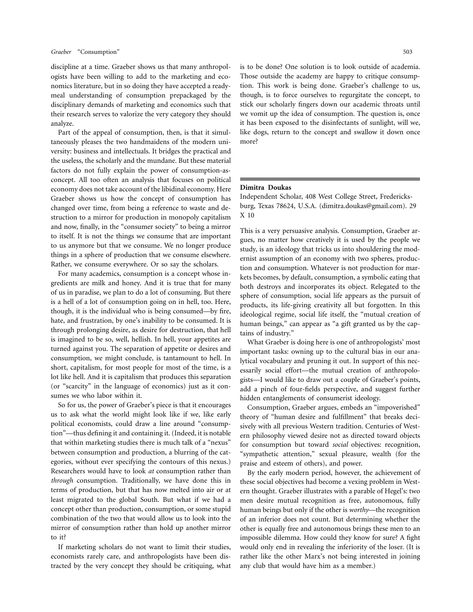discipline at a time. Graeber shows us that many anthropologists have been willing to add to the marketing and economics literature, but in so doing they have accepted a readymeal understanding of consumption prepackaged by the disciplinary demands of marketing and economics such that their research serves to valorize the very category they should analyze.

Part of the appeal of consumption, then, is that it simultaneously pleases the two handmaidens of the modern university: business and intellectuals. It bridges the practical and the useless, the scholarly and the mundane. But these material factors do not fully explain the power of consumption-asconcept. All too often an analysis that focuses on political economy does not take account of the libidinal economy. Here Graeber shows us how the concept of consumption has changed over time, from being a reference to waste and destruction to a mirror for production in monopoly capitalism and now, finally, in the "consumer society" to being a mirror to itself. It is not the things we consume that are important to us anymore but that we consume. We no longer produce things in a sphere of production that we consume elsewhere. Rather, we consume everywhere. Or so say the scholars.

For many academics, consumption is a concept whose ingredients are milk and honey. And it is true that for many of us in paradise, we plan to do a lot of consuming. But there is a hell of a lot of consumption going on in hell, too. Here, though, it is the individual who is being consumed—by fire, hate, and frustration, by one's inability to be consumed. It is through prolonging desire, as desire for destruction, that hell is imagined to be so, well, hellish. In hell, your appetites are turned against you. The separation of appetite or desires and consumption, we might conclude, is tantamount to hell. In short, capitalism, for most people for most of the time, is a lot like hell. And it is capitalism that produces this separation (or "scarcity" in the language of economics) just as it consumes we who labor within it.

So for us, the power of Graeber's piece is that it encourages us to ask what the world might look like if we, like early political economists, could draw a line around "consumption"—thus defining it and containing it. (Indeed, it is notable that within marketing studies there is much talk of a "nexus" between consumption and production, a blurring of the categories, without ever specifying the contours of this nexus.) Researchers would have to look *at* consumption rather than *through* consumption. Traditionally, we have done this in terms of production, but that has now melted into air or at least migrated to the global South. But what if we had a concept other than production, consumption, or some stupid combination of the two that would allow us to look into the mirror of consumption rather than hold up another mirror to it?

If marketing scholars do not want to limit their studies, economists rarely care, and anthropologists have been distracted by the very concept they should be critiquing, what is to be done? One solution is to look outside of academia. Those outside the academy are happy to critique consumption. This work is being done. Graeber's challenge to us, though, is to force ourselves to regurgitate the concept, to stick our scholarly fingers down our academic throats until we vomit up the idea of consumption. The question is, once it has been exposed to the disinfectants of sunlight, will we, like dogs, return to the concept and swallow it down once more?

#### **Dimitra Doukas**

Independent Scholar, 408 West College Street, Fredericksburg, Texas 78624, U.S.A. [\(dimitra.doukas@gmail.com\)](mailto:dimitra.doukas@gmail.com). 29 X 10

This is a very persuasive analysis. Consumption, Graeber argues, no matter how creatively it is used by the people we study, is an ideology that tricks us into shouldering the modernist assumption of an economy with two spheres, production and consumption. Whatever is not production for markets becomes, by default, consumption, a symbolic eating that both destroys and incorporates its object. Relegated to the sphere of consumption, social life appears as the pursuit of products, its life-giving creativity all but forgotten. In this ideological regime, social life itself, the "mutual creation of human beings," can appear as "a gift granted us by the captains of industry."

What Graeber is doing here is one of anthropologists' most important tasks: owning up to the cultural bias in our analytical vocabulary and pruning it out. In support of this necessarily social effort—the mutual creation of anthropologists—I would like to draw out a couple of Graeber's points, add a pinch of four-fields perspective, and suggest further hidden entanglements of consumerist ideology.

Consumption, Graeber argues, embeds an "impoverished" theory of "human desire and fulfillment" that breaks decisively with all previous Western tradition. Centuries of Western philosophy viewed desire not as directed toward objects for consumption but toward *social* objectives: recognition, "sympathetic attention," sexual pleasure, wealth (for the praise and esteem of others), and power.

By the early modern period, however, the achievement of these social objectives had become a vexing problem in Western thought. Graeber illustrates with a parable of Hegel's: two men desire mutual recognition as free, autonomous, fully human beings but only if the other is *worthy*—the recognition of an inferior does not count. But determining whether the other is equally free and autonomous brings these men to an impossible dilemma. How could they know for sure? A fight would only end in revealing the inferiority of the loser. (It is rather like the other Marx's not being interested in joining any club that would have him as a member.)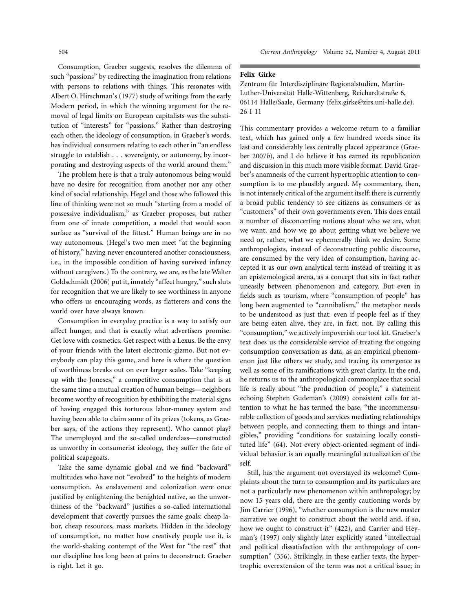Consumption, Graeber suggests, resolves the dilemma of such "passions" by redirecting the imagination from relations with persons to relations with things. This resonates with Albert O. Hirschman's (1977) study of writings from the early Modern period, in which the winning argument for the removal of legal limits on European capitalists was the substitution of "interests" for "passions." Rather than destroying each other, the ideology of consumption, in Graeber's words, has individual consumers relating to each other in "an endless struggle to establish . . . sovereignty, or autonomy, by incorporating and destroying aspects of the world around them."

The problem here is that a truly autonomous being would have no desire for recognition from another nor any other kind of social relationship. Hegel and those who followed this line of thinking were not so much "starting from a model of possessive individualism," as Graeber proposes, but rather from one of innate competition, a model that would soon surface as "survival of the fittest." Human beings are in no way autonomous. (Hegel's two men meet "at the beginning of history," having never encountered another consciousness, i.e., in the impossible condition of having survived infancy without caregivers.) To the contrary, we are, as the late Walter Goldschmidt (2006) put it, innately "affect hungry," such sluts for recognition that we are likely to see worthiness in anyone who offers us encouraging words, as flatterers and cons the world over have always known.

Consumption in everyday practice is a way to satisfy our affect hunger, and that is exactly what advertisers promise. Get love with cosmetics. Get respect with a Lexus. Be the envy of your friends with the latest electronic gizmo. But not everybody can play this game, and here is where the question of worthiness breaks out on ever larger scales. Take "keeping up with the Joneses," a competitive consumption that is at the same time a mutual creation of human beings—neighbors become worthy of recognition by exhibiting the material signs of having engaged this torturous labor-money system and having been able to claim some of its prizes (tokens, as Graeber says, of the actions they represent). Who cannot play? The unemployed and the so-called underclass—constructed as unworthy in consumerist ideology, they suffer the fate of political scapegoats.

Take the same dynamic global and we find "backward" multitudes who have not "evolved" to the heights of modern consumption. As enslavement and colonization were once justified by enlightening the benighted native, so the unworthiness of the "backward" justifies a so-called international development that covertly pursues the same goals: cheap labor, cheap resources, mass markets. Hidden in the ideology of consumption, no matter how creatively people use it, is the world-shaking contempt of the West for "the rest" that our discipline has long been at pains to deconstruct. Graeber is right. Let it go.

#### **Felix Girke**

Zentrum für Interdisziplinäre Regionalstudien, Martin-Luther-Universität Halle-Wittenberg, Reichardtstraße 6, 06114 Halle/Saale, Germany [\(felix.girke@zirs.uni-halle.de\)](mailto:felix.girke@zirs.uni-halle.de). 26 I 11

This commentary provides a welcome return to a familiar text, which has gained only a few hundred words since its last and considerably less centrally placed appearance (Graeber 2007*b*), and I do believe it has earned its republication and discussion in this much more visible format. David Graeber's anamnesis of the current hypertrophic attention to consumption is to me plausibly argued. My commentary, then, is not intensely critical of the argument itself: there is currently a broad public tendency to see citizens as consumers or as "customers" of their own governments even. This does entail a number of disconcerting notions about who we are, what we want, and how we go about getting what we believe we need or, rather, what we ephemerally think we desire. Some anthropologists, instead of deconstructing public discourse, are consumed by the very idea of consumption, having accepted it as our own analytical term instead of treating it as an epistemological arena, as a concept that sits in fact rather uneasily between phenomenon and category. But even in fields such as tourism, where "consumption of people" has long been augmented to "cannibalism," the metaphor needs to be understood as just that: even if people feel as if they are being eaten alive, they are, in fact, not. By calling this "consumption," we actively impoverish our tool kit. Graeber's text does us the considerable service of treating the ongoing consumption conversation as data, as an empirical phenomenon just like others we study, and tracing its emergence as well as some of its ramifications with great clarity. In the end, he returns us to the anthropological commonplace that social life is really about "the production of people," a statement echoing Stephen Gudeman's (2009) consistent calls for attention to what he has termed the base, "the incommensurable collection of goods and services mediating relationships between people, and connecting them to things and intangibles," providing "conditions for sustaining locally constituted life" (64). Not every object-oriented segment of individual behavior is an equally meaningful actualization of the self.

Still, has the argument not overstayed its welcome? Complaints about the turn to consumption and its particulars are not a particularly new phenomenon within anthropology; by now 15 years old, there are the gently cautioning words by Jim Carrier (1996), "whether consumption is the new master narrative we ought to construct about the world and, if so, how we ought to construct it" (422), and Carrier and Heyman's (1997) only slightly later explicitly stated "intellectual and political dissatisfaction with the anthropology of consumption" (356). Strikingly, in these earlier texts, the hypertrophic overextension of the term was not a critical issue; in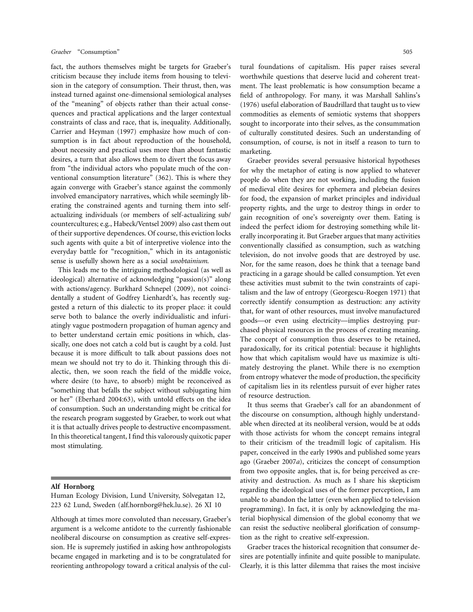fact, the authors themselves might be targets for Graeber's criticism because they include items from housing to television in the category of consumption. Their thrust, then, was instead turned against one-dimensional semiological analyses of the "meaning" of objects rather than their actual consequences and practical applications and the larger contextual constraints of class and race, that is, inequality. Additionally, Carrier and Heyman (1997) emphasize how much of consumption is in fact about reproduction of the household, about necessity and practical uses more than about fantastic desires, a turn that also allows them to divert the focus away from "the individual actors who populate much of the conventional consumption literature" (362). This is where they again converge with Graeber's stance against the commonly involved emancipatory narratives, which while seemingly liberating the constrained agents and turning them into selfactualizing individuals (or members of self-actualizing sub/ countercultures; e.g., Habeck/Ventsel 2009) also cast them out of their supportive dependences. Of course, this eviction locks such agents with quite a bit of interpretive violence into the everyday battle for "recognition," which in its antagonistic sense is usefully shown here as a social *unobtainium*.

This leads me to the intriguing methodological (as well as ideological) alternative of acknowledging "passion(s)" along with actions/agency. Burkhard Schnepel (2009), not coincidentally a student of Godfrey Lienhardt's, has recently suggested a return of this dialectic to its proper place: it could serve both to balance the overly individualistic and infuriatingly vague postmodern propagation of human agency and to better understand certain emic positions in which, classically, one does not catch a cold but is caught by a cold. Just because it is more difficult to talk about passions does not mean we should not try to do it. Thinking through this dialectic, then, we soon reach the field of the middle voice, where desire (to have, to absorb) might be reconceived as "something that befalls the subject without subjugating him or her" (Eberhard 2004:63), with untold effects on the idea of consumption. Such an understanding might be critical for the research program suggested by Graeber, to work out what it is that actually drives people to destructive encompassment. In this theoretical tangent, I find this valorously quixotic paper most stimulating.

#### **Alf Hornborg**

Human Ecology Division, Lund University, Sölvegatan 12, 223 62 Lund, Sweden [\(alf.hornborg@hek.lu.se\)](mailto:Alf.Hornborg@hek.lu.se). 26 XI 10

Although at times more convoluted than necessary, Graeber's argument is a welcome antidote to the currently fashionable neoliberal discourse on consumption as creative self-expression. He is supremely justified in asking how anthropologists became engaged in marketing and is to be congratulated for reorienting anthropology toward a critical analysis of the cul-

tural foundations of capitalism. His paper raises several worthwhile questions that deserve lucid and coherent treatment. The least problematic is how consumption became a field of anthropology. For many, it was Marshall Sahlins's (1976) useful elaboration of Baudrillard that taught us to view commodities as elements of semiotic systems that shoppers sought to incorporate into their selves, as the consummation of culturally constituted desires. Such an understanding of consumption, of course, is not in itself a reason to turn to marketing.

Graeber provides several persuasive historical hypotheses for why the metaphor of eating is now applied to whatever people do when they are not working, including the fusion of medieval elite desires for ephemera and plebeian desires for food, the expansion of market principles and individual property rights, and the urge to destroy things in order to gain recognition of one's sovereignty over them. Eating is indeed the perfect idiom for destroying something while literally incorporating it. But Graeber argues that many activities conventionally classified as consumption, such as watching television, do not involve goods that are destroyed by use. Nor, for the same reason, does he think that a teenage band practicing in a garage should be called consumption. Yet even these activities must submit to the twin constraints of capitalism and the law of entropy (Georgescu-Roegen 1971) that correctly identify consumption as destruction: any activity that, for want of other resources, must involve manufactured goods—or even using electricity—implies destroying purchased physical resources in the process of creating meaning. The concept of consumption thus deserves to be retained, paradoxically, for its critical potential: because it highlights how that which capitalism would have us maximize is ultimately destroying the planet. While there is no exemption from entropy whatever the mode of production, the specificity of capitalism lies in its relentless pursuit of ever higher rates of resource destruction.

It thus seems that Graeber's call for an abandonment of the discourse on consumption, although highly understandable when directed at its neoliberal version, would be at odds with those activists for whom the concept remains integral to their criticism of the treadmill logic of capitalism. His paper, conceived in the early 1990s and published some years ago (Graeber 2007*a*), criticizes the concept of consumption from two opposite angles, that is, for being perceived as creativity and destruction. As much as I share his skepticism regarding the ideological uses of the former perception, I am unable to abandon the latter (even when applied to television programming). In fact, it is only by acknowledging the material biophysical dimension of the global economy that we can resist the seductive neoliberal glorification of consumption as the right to creative self-expression.

Graeber traces the historical recognition that consumer desires are potentially infinite and quite possible to manipulate. Clearly, it is this latter dilemma that raises the most incisive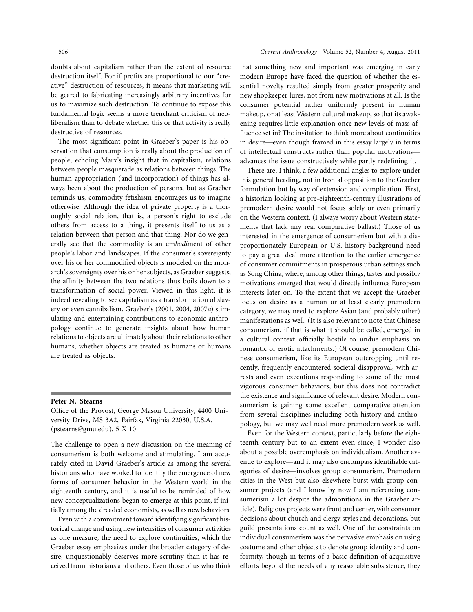doubts about capitalism rather than the extent of resource destruction itself. For if profits are proportional to our "creative" destruction of resources, it means that marketing will be geared to fabricating increasingly arbitrary incentives for us to maximize such destruction. To continue to expose this fundamental logic seems a more trenchant criticism of neoliberalism than to debate whether this or that activity is really destructive of resources.

The most significant point in Graeber's paper is his observation that consumption is really about the production of people, echoing Marx's insight that in capitalism, relations between people masquerade as relations between things. The human appropriation (and incorporation) of things has always been about the production of persons, but as Graeber reminds us, commodity fetishism encourages us to imagine otherwise. Although the idea of private property is a thoroughly social relation, that is, a person's right to exclude others from access to a thing, it presents itself to us as a relation between that person and that thing. Nor do we generally see that the commodity is an em*bodi*ment of other people's labor and landscapes. If the consumer's sovereignty over his or her commodified objects is modeled on the monarch's sovereignty over his or her subjects, as Graeber suggests, the affinity between the two relations thus boils down to a transformation of social power. Viewed in this light, it is indeed revealing to see capitalism as a transformation of slavery or even cannibalism. Graeber's (2001, 2004, 2007*a*) stimulating and entertaining contributions to economic anthropology continue to generate insights about how human relations to objects are ultimately about their relations to other humans, whether objects are treated as humans or humans are treated as objects.

#### **Peter N. Stearns**

Office of the Provost, George Mason University, 4400 University Drive, MS 3A2, Fairfax, Virginia 22030, U.S.A. [\(pstearns@gmu.edu\)](mailto:pstearns@gmu.edu). 5 X 10

The challenge to open a new discussion on the meaning of consumerism is both welcome and stimulating. I am accurately cited in David Graeber's article as among the several historians who have worked to identify the emergence of new forms of consumer behavior in the Western world in the eighteenth century, and it is useful to be reminded of how new conceptualizations began to emerge at this point, if initially among the dreaded economists, as well as new behaviors.

Even with a commitment toward identifying significant historical change and using new intensities of consumer activities as one measure, the need to explore continuities, which the Graeber essay emphasizes under the broader category of desire, unquestionably deserves more scrutiny than it has received from historians and others. Even those of us who think

that something new and important was emerging in early modern Europe have faced the question of whether the essential novelty resulted simply from greater prosperity and new shopkeeper lures, not from new motivations at all. Is the consumer potential rather uniformly present in human makeup, or at least Western cultural makeup, so that its awakening requires little explanation once new levels of mass affluence set in? The invitation to think more about continuities in desire—even though framed in this essay largely in terms of intellectual constructs rather than popular motivations advances the issue constructively while partly redefining it.

There are, I think, a few additional angles to explore under this general heading, not in frontal opposition to the Graeber formulation but by way of extension and complication. First, a historian looking at pre-eighteenth-century illustrations of premodern desire would not focus solely or even primarily on the Western context. (I always worry about Western statements that lack any real comparative ballast.) Those of us interested in the emergence of consumerism but with a disproportionately European or U.S. history background need to pay a great deal more attention to the earlier emergence of consumer commitments in prosperous urban settings such as Song China, where, among other things, tastes and possibly motivations emerged that would directly influence European interests later on. To the extent that we accept the Graeber focus on desire as a human or at least clearly premodern category, we may need to explore Asian (and probably other) manifestations as well. (It is also relevant to note that Chinese consumerism, if that is what it should be called, emerged in a cultural context officially hostile to undue emphasis on romantic or erotic attachments.) Of course, premodern Chinese consumerism, like its European outcropping until recently, frequently encountered societal disapproval, with arrests and even executions responding to some of the most vigorous consumer behaviors, but this does not contradict the existence and significance of relevant desire. Modern consumerism is gaining some excellent comparative attention from several disciplines including both history and anthropology, but we may well need more premodern work as well.

Even for the Western context, particularly before the eighteenth century but to an extent even since, I wonder also about a possible overemphasis on individualism. Another avenue to explore—and it may also encompass identifiable categories of desire—involves group consumerism. Premodern cities in the West but also elsewhere burst with group consumer projects (and I know by now I am referencing consumerism a lot despite the admonitions in the Graeber article). Religious projects were front and center, with consumer decisions about church and clergy styles and decorations, but guild presentations count as well. One of the constraints on individual consumerism was the pervasive emphasis on using costume and other objects to denote group identity and conformity, though in terms of a basic definition of acquisitive efforts beyond the needs of any reasonable subsistence, they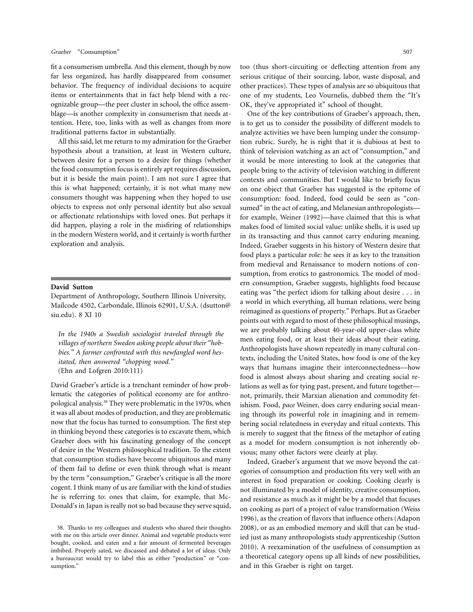fit a consumerism umbrella. And this element, though by now far less organized, has hardly disappeared from consumer behavior. The frequency of individual decisions to acquire items or entertainments that in fact help blend with a recognizable group—the peer cluster in school, the office assemblage—is another complexity in consumerism that needs attention. Here, too, links with as well as changes from more traditional patterns factor in substantially.

All this said, let me return to my admiration for the Graeber hypothesis about a transition, at least in Western culture, between desire for a person to a desire for things (whether the food consumption focus is entirely apt requires discussion, but it is beside the main point). I am not sure I agree that this is what happened; certainly, it is not what many new consumers thought was happening when they hoped to use objects to express not only personal identity but also sexual or affectionate relationships with loved ones. But perhaps it did happen, playing a role in the misfiring of relationships in the modern Western world, and it certainly is worth further exploration and analysis.

#### **David Sutton**

Department of Anthropology, Southern Illinois University, Mailcode 4502, Carbondale, Illinois 62901, U.S.A. [\(dsutton@](mailto:dsutton@siu.edu) [siu.edu\)](mailto:dsutton@siu.edu). 8 XI 10

*In the 1940s a Swedish sociologist traveled through the villages of northern Sweden asking people about their "hobbies." A farmer confronted with this newfangled word hesitated, then answered "chopping wood."* (Ehn and Lofgren 2010:111)

David Graeber's article is a trenchant reminder of how problematic the categories of political economy are for anthropological analysis.38 They were problematic in the 1970s, when it was all about modes of production, and they are problematic now that the focus has turned to consumption. The first step in thinking beyond these categories is to excavate them, which Graeber does with his fascinating genealogy of the concept of desire in the Western philosophical tradition. To the extent that consumption studies have become ubiquitous and many of them fail to define or even think through what is meant by the term "consumption," Graeber's critique is all the more cogent. I think many of us are familiar with the kind of studies he is referring to: ones that claim, for example, that Mc-Donald's in Japan is really not so bad because they serve squid,

too (thus short-circuiting or deflecting attention from any serious critique of their sourcing, labor, waste disposal, and other practices). These types of analysis are so ubiquitous that one of my students, Leo Vournelis, dubbed them the "It's

OK, they've appropriated it" school of thought. One of the key contributions of Graeber's approach, then, is to get us to consider the possibility of different models to analyze activities we have been lumping under the consumption rubric. Surely, he is right that it is dubious at best to think of television watching as an act of "consumption," and it would be more interesting to look at the categories that people bring to the activity of television watching in different contexts and communities. But I would like to briefly focus on one object that Graeber has suggested is the epitome of consumption: food. Indeed, food could be seen as "consumed" in the act of eating, and Melanesian anthropologists for example, Weiner (1992)—have claimed that this is what makes food of limited social value: unlike shells, it is used up in its transacting and thus cannot carry enduring meaning. Indeed, Graeber suggests in his history of Western desire that food plays a particular role: he sees it as key to the transition from medieval and Renaissance to modern notions of consumption, from erotics to gastronomics. The model of modern consumption, Graeber suggests, highlights food because eating was "the perfect idiom for talking about desire . . . in a world in which everything, all human relations, were being reimagined as questions of property." Perhaps. But as Graeber points out with regard to most of these philosophical musings, we are probably talking about 40-year-old upper-class white men eating food, or at least their ideas about their eating. Anthropologists have shown repeatedly in many cultural contexts, including the United States, how food is one of the key ways that humans imagine their interconnectedness—how food is almost always about sharing and creating social relations as well as for tying past, present, and future together not, primarily, their Marxian alienation and commodity fetishism. Food, *pace* Weiner, does carry enduring social meaning through its powerful role in imagining and in remembering social relatedness in everyday and ritual contexts. This is merely to suggest that the fitness of the metaphor of eating as a model for modern consumption is not inherently obvious; many other factors were clearly at play.

Indeed, Graeber's argument that we move beyond the categories of consumption and production fits very well with an interest in food preparation or cooking. Cooking clearly is not illuminated by a model of identity, creative consumption, and resistance as much as it might be by a model that focuses on cooking as part of a project of value transformation (Weiss 1996), as the creation of flavors that influence others (Adapon 2008), or as an embodied memory and skill that can be studied just as many anthropologists study apprenticeship (Sutton 2010). A reexamination of the usefulness of consumption as a theoretical category opens up all kinds of new possibilities, and in this Graeber is right on target.

<sup>38.</sup> Thanks to my colleagues and students who shared their thoughts with me on this article over dinner. Animal and vegetable products were bought, cooked, and eaten and a fair amount of fermented beverages imbibed. Properly sated, we discussed and debated a lot of ideas. Only a bureaucrat would try to label this as either "production" or "consumption."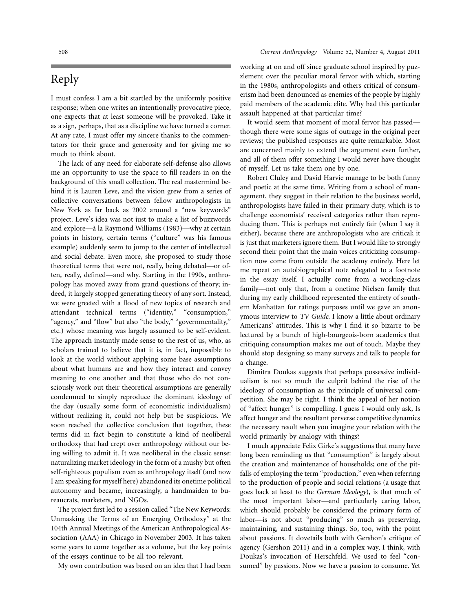# Reply

I must confess I am a bit startled by the uniformly positive response; when one writes an intentionally provocative piece, one expects that at least someone will be provoked. Take it as a sign, perhaps, that as a discipline we have turned a corner. At any rate, I must offer my sincere thanks to the commentators for their grace and generosity and for giving me so much to think about.

The lack of any need for elaborate self-defense also allows me an opportunity to use the space to fill readers in on the background of this small collection. The real mastermind behind it is Lauren Leve, and the vision grew from a series of collective conversations between fellow anthropologists in New York as far back as 2002 around a "new keywords" project. Leve's idea was not just to make a list of buzzwords and explore—à la Raymond Williams (1983)—why at certain points in history, certain terms ("culture" was his famous example) suddenly seem to jump to the center of intellectual and social debate. Even more, she proposed to study those theoretical terms that were not, really, being debated—or often, really, defined—and why. Starting in the 1990s, anthropology has moved away from grand questions of theory; indeed, it largely stopped generating theory of any sort. Instead, we were greeted with a flood of new topics of research and attendant technical terms ("identity," "consumption," "agency," and "flow" but also "the body," "governmentality," etc.) whose meaning was largely assumed to be self-evident. The approach instantly made sense to the rest of us, who, as scholars trained to believe that it is, in fact, impossible to look at the world without applying some base assumptions about what humans are and how they interact and convey meaning to one another and that those who do not consciously work out their theoretical assumptions are generally condemned to simply reproduce the dominant ideology of the day (usually some form of economistic individualism) without realizing it, could not help but be suspicious. We soon reached the collective conclusion that together, these terms did in fact begin to constitute a kind of neoliberal orthodoxy that had crept over anthropology without our being willing to admit it. It was neoliberal in the classic sense: naturalizing market ideology in the form of a mushy but often self-righteous populism even as anthropology itself (and now I am speaking for myself here) abandoned its onetime political autonomy and became, increasingly, a handmaiden to bureaucrats, marketers, and NGOs.

The project first led to a session called "The New Keywords: Unmasking the Terms of an Emerging Orthodoxy" at the 104th Annual Meetings of the American Anthropological Association (AAA) in Chicago in November 2003. It has taken some years to come together as a volume, but the key points of the essays continue to be all too relevant.

My own contribution was based on an idea that I had been

working at on and off since graduate school inspired by puzzlement over the peculiar moral fervor with which, starting in the 1980s, anthropologists and others critical of consumerism had been denounced as enemies of the people by highly paid members of the academic elite. Why had this particular assault happened at that particular time?

It would seem that moment of moral fervor has passed though there were some signs of outrage in the original peer reviews; the published responses are quite remarkable. Most are concerned mainly to extend the argument even further, and all of them offer something I would never have thought of myself. Let us take them one by one.

Robert Cluley and David Harvie manage to be both funny and poetic at the same time. Writing from a school of management, they suggest in their relation to the business world, anthropologists have failed in their primary duty, which is to challenge economists' received categories rather than reproducing them. This is perhaps not entirely fair (when I say it either), because there are anthropologists who are critical; it is just that marketers ignore them. But I would like to strongly second their point that the main voices criticizing consumption now come from outside the academy entirely. Here let me repeat an autobiographical note relegated to a footnote in the essay itself. I actually come from a working-class family—not only that, from a onetime Nielsen family that during my early childhood represented the entirety of southern Manhattan for ratings purposes until we gave an anonymous interview to *TV Guide*. I know a little about ordinary Americans' attitudes. This is why I find it so bizarre to be lectured by a bunch of high-bourgeois-born academics that critiquing consumption makes me out of touch. Maybe they should stop designing so many surveys and talk to people for a change.

Dimitra Doukas suggests that perhaps possessive individualism is not so much the culprit behind the rise of the ideology of consumption as the principle of universal competition. She may be right. I think the appeal of her notion of "affect hunger" is compelling. I guess I would only ask, Is affect hunger and the resultant perverse competitive dynamics the necessary result when you imagine your relation with the world primarily by analogy with things?

I much appreciate Felix Girke's suggestions that many have long been reminding us that "consumption" is largely about the creation and maintenance of households; one of the pitfalls of employing the term "production," even when referring to the production of people and social relations (a usage that goes back at least to the *German Ideology*), is that much of the most important labor—and particularly caring labor, which should probably be considered the primary form of labor—is not about "producing" so much as preserving, maintaining, and sustaining things. So, too, with the point about passions. It dovetails both with Gershon's critique of agency (Gershon 2011) and in a complex way, I think, with Doukas's invocation of Herschfeld. We used to feel "consumed" by passions. Now we have a passion to consume. Yet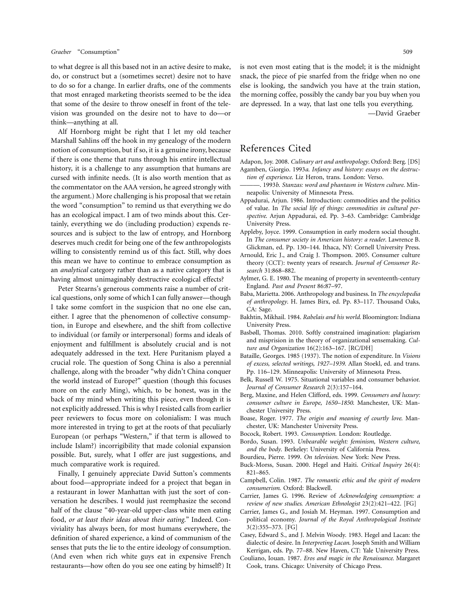to what degree is all this based not in an active desire to make, do, or construct but a (sometimes secret) desire not to have to do so for a change. In earlier drafts, one of the comments that most enraged marketing theorists seemed to be the idea that some of the desire to throw oneself in front of the television was grounded on the desire not to have to do—or think—anything at all.

Alf Hornborg might be right that I let my old teacher Marshall Sahlins off the hook in my genealogy of the modern notion of consumption, but if so, it is a genuine irony, because if there is one theme that runs through his entire intellectual history, it is a challenge to any assumption that humans are cursed with infinite needs. (It is also worth mention that as the commentator on the AAA version, he agreed strongly with the argument.) More challenging is his proposal that we retain the word "consumption" to remind us that everything we do has an ecological impact. I am of two minds about this. Certainly, everything we do (including production) expends resources and is subject to the law of entropy, and Hornborg deserves much credit for being one of the few anthropologists willing to consistently remind us of this fact. Still, why does this mean we have to continue to embrace consumption as an *analytical* category rather than as a native category that is having almost unimaginably destructive ecological effects?

Peter Stearns's generous comments raise a number of critical questions, only some of which I can fully answer—though I take some comfort in the suspicion that no one else can, either. I agree that the phenomenon of collective consumption, in Europe and elsewhere, and the shift from collective to individual (or family or interpersonal) forms and ideals of enjoyment and fulfillment is absolutely crucial and is not adequately addressed in the text. Here Puritanism played a crucial role. The question of Song China is also a perennial challenge, along with the broader "why didn't China conquer the world instead of Europe?" question (though this focuses more on the early Ming), which, to be honest, was in the back of my mind when writing this piece, even though it is not explicitly addressed. This is why I resisted calls from earlier peer reviewers to focus more on colonialism: I was much more interested in trying to get at the roots of that peculiarly European (or perhaps "Western," if that term is allowed to include Islam?) incorrigibility that made colonial expansion possible. But, surely, what I offer are just suggestions, and much comparative work is required.

Finally, I genuinely appreciate David Sutton's comments about food—appropriate indeed for a project that began in a restaurant in lower Manhattan with just the sort of conversation he describes. I would just reemphasize the second half of the clause "40-year-old upper-class white men eating food, *or at least their ideas about their eating*." Indeed. Conviviality has always been, for most humans everywhere, the definition of shared experience, a kind of communism of the senses that puts the lie to the entire ideology of consumption. (And even when rich white guys eat in expensive French restaurants—how often do you see one eating by himself?) It is not even most eating that is the model; it is the midnight snack, the piece of pie snarfed from the fridge when no one else is looking, the sandwich you have at the train station, the morning coffee, possibly the candy bar you buy when you are depressed. In a way, that last one tells you everything. —David Graeber

References Cited

Adapon, Joy. 2008. *Culinary art and anthropology*. Oxford: Berg. [DS] Agamben, Giorgio. 1993*a*. *Infancy and history: essays on the destruction of experience*. Liz Heron, trans. London: Verso.

- ———. 1993*b*. *Stanzas: word and phantasm in Western culture*. Minneapolis: University of Minnesota Press.
- Appadurai, Arjun. 1986. Introduction: commodities and the politics of value. In *The social life of things: commodities in cultural perspective*. Arjun Appadurai, ed. Pp. 3–63. Cambridge: Cambridge University Press.
- Appleby, Joyce. 1999. Consumption in early modern social thought. In *The consumer society in American history: a reader*. Lawrence B. Glickman, ed. Pp. 130–144. Ithaca, NY: Cornell University Press.
- Arnould, Eric J., and Craig J. Thompson. 2005. Consumer culture theory (CCT): twenty years of research. *Journal of Consumer Research* 31:868–882.
- Aylmer, G. E. 1980. The meaning of property in seventeenth-century England. *Past and Present* 86:87–97.
- Baba, Marietta. 2006. Anthropology and business. In *The encyclopedia of anthropology*. H. James Birx, ed. Pp. 83–117. Thousand Oaks, CA: Sage.
- Bakhtin, Mikhail. 1984. *Rabelais and his world*. Bloomington: Indiana University Press.
- Basbøll, Thomas. 2010. Softly constrained imagination: plagiarism and misprision in the theory of organizational sensemaking. *Culture and Organization* 16(2):163–167. [RC/DH]
- Bataille, Georges. 1985 (1937). The notion of expenditure. In *Visions of excess, selected writings, 1927–1939*. Allan Stoekl, ed. and trans. Pp. 116–129. Minneapolis: University of Minnesota Press.
- Belk, Russell W. 1975. Situational variables and consumer behavior. *Journal of Consumer Research* 2(3):157–164.
- Berg, Maxine, and Helen Clifford, eds. 1999. *Consumers and luxury: consumer culture in Europe, 1650–1850*. Manchester, UK: Manchester University Press.
- Boase, Roger. 1977. *The origin and meaning of courtly love*. Manchester, UK: Manchester University Press.
- Bocock, Robert. 1993. *Consumption*. London: Routledge.
- Bordo, Susan. 1993. *Unbearable weight: feminism, Western culture, and the body*. Berkeley: University of California Press.
- Bourdieu, Pierre. 1999. *On television*. New York: New Press.
- Buck-Morss, Susan. 2000. Hegel and Haiti. *Critical Inquiry* 26(4): 821–865.
- Campbell, Colin. 1987. *The romantic ethic and the spirit of modern consumerism*. Oxford: Blackwell.
- Carrier, James G. 1996. Review of *Acknowledging consumption: a review of new studies*. *American Ethnologist* 23(2):421–422. [FG]
- Carrier, James G., and Josiah M. Heyman. 1997. Consumption and political economy. *Journal of the Royal Anthropological Institute* 3(2):355–373. [FG]
- Casey, Edward S., and J. Melvin Woody. 1983. Hegel and Lacan: the dialectic of desire. In *Interpreting Lacan*. Joseph Smith and William Kerrigan, eds. Pp. 77–88. New Haven, CT: Yale University Press.
- Couliano, Iouan. 1987. *Eros and magic in the Renaissance*. Margaret Cook, trans. Chicago: University of Chicago Press.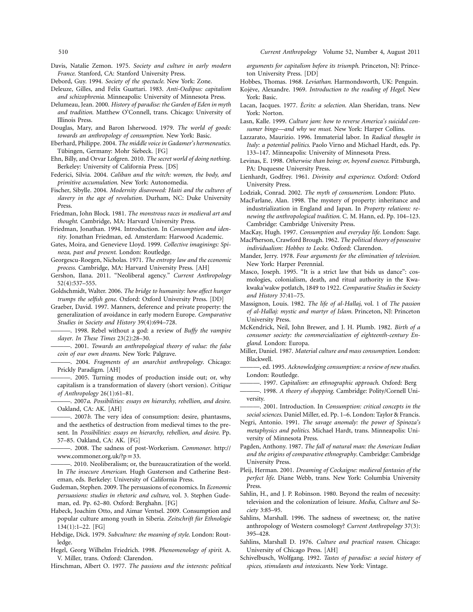- Davis, Natalie Zemon. 1975. *Society and culture in early modern France*. Stanford, CA: Stanford University Press.
- Debord, Guy. 1994. *Society of the spectacle*. New York: Zone.
- Deleuze, Gilles, and Felix Guattari. 1983. *Anti-Oedipus: capitalism and schizophrenia*. Minneapolis: University of Minnesota Press.
- Delumeau, Jean. 2000. *History of paradise: the Garden of Eden in myth and tradition*. Matthew O'Connell, trans. Chicago: University of Illinois Press.
- Douglas, Mary, and Baron Isherwood. 1979. *The world of goods: towards an anthropology of consumption*. New York: Basic.
- Eberhard, Philippe. 2004. *The middle voice in Gadamer's hermeneutics*. Tübingen, Germany: Mohr Siebeck. [FG]
- Ehn, Billy, and Orvar Lofgren. 2010. *The secret world of doing nothing*. Berkeley: University of California Press. [DS]
- Federici, Silvia. 2004. *Caliban and the witch: women, the body, and primitive accumulation*. New York: Autonomedia.
- Fischer, Sibylle. 2004. *Modernity disavowed: Haiti and the cultures of slavery in the age of revolution*. Durham, NC: Duke University Press.
- Friedman, John Block. 1981. *The monstrous races in medieval art and thought*. Cambridge, MA: Harvard University Press.
- Friedman, Jonathan. 1994. Introduction. In *Consumption and identity*. Jonathan Friedman, ed. Amsterdam: Harwood Academic.
- Gates, Moira, and Genevieve Lloyd. 1999. *Collective imaginings: Spinoza, past and present*. London: Routledge.
- Georgescu-Roegen, Nicholas. 1971. *The entropy law and the economic process*. Cambridge, MA: Harvard University Press. [AH]
- Gershon, Ilana. 2011. "Neoliberal agency." *Current Anthropology* 52(4):537–555.
- Goldschmidt, Walter. 2006. *The bridge to humanity: how affect hunger trumps the selfish gene*. Oxford: Oxford University Press. [DD]
- Graeber, David. 1997. Manners, deference and private property: the generalization of avoidance in early modern Europe. *Comparative Studies in Society and History* 39(4):694–728.
- ———. 1998. Rebel without a god: a review of *Buffy the vampire slayer*. *In These Times* 23(2):28–30.
- ———. 2001. *Towards an anthropological theory of value: the false coin of our own dreams*. New York: Palgrave.
- ———. 2004. *Fragments of an anarchist anthropology*. Chicago: Prickly Paradigm. [AH]
- -. 2005. Turning modes of production inside out; or, why capitalism is a transformation of slavery (short version). *Critique of Anthropology* 26(1):61–81.
- ———. 2007*a*. *Possibilities: essays on hierarchy, rebellion, and desire*. Oakland, CA: AK. [AH]
- -. 2007*b*. The very idea of consumption: desire, phantasms, and the aesthetics of destruction from medieval times to the present. In *Possibilities: essays on hierarchy, rebellion, and desire*. Pp. 57–85. Oakland, CA: AK. [FG]
- ———. 2008. The sadness of post-Workerism. *Commoner*. [http://](http://www.commoner.org.uk/?p=33) www.commoner.org.uk/? $p = 33$ .
- -. 2010. Neoliberalism; or, the bureaucratization of the world. In *The insecure American*. Hugh Gusterson and Catherine Besteman, eds. Berkeley: University of California Press.
- Gudeman, Stephen. 2009. The persuasions of economics. In *Economic persuasions: studies in rhetoric and culture*, vol. 3. Stephen Gudeman, ed. Pp. 62–80. Oxford: Berghahn. [FG]
- Habeck, Joachim Otto, and Aimar Ventsel. 2009. Consumption and popular culture among youth in Siberia. Zeitschrift für Ethnologie 134(1):1–22. [FG]
- Hebdige, Dick. 1979. *Subculture: the meaning of style*. London: Routledge.
- Hegel, Georg Wilhelm Friedrich. 1998. *Phenomenology of spirit*. A. V. Miller, trans. Oxford: Clarendon.
- Hirschman, Albert O. 1977. *The passions and the interests: political*

*arguments for capitalism before its triumph*. Princeton, NJ: Princeton University Press. [DD]

- Hobbes, Thomas. 1968. *Leviathan*. Harmondsworth, UK: Penguin.
- Kojéve, Alexandre. 1969. *Introduction to the reading of Hegel*. New York: Basic.
- Lacan, Jacques. 1977. Écrits: a selection. Alan Sheridan, trans. New York: Norton.
- Lasn, Kalle. 1999. *Culture jam: how to reverse America's suicidal consumer binge—and why we must*. New York: Harper Collins.
- Lazzarato, Maurizio. 1996. Immaterial labor. In *Radical thought in Italy: a potential politics*. Paolo Virno and Michael Hardt, eds. Pp. 133–147. Minneapolis: University of Minnesota Press.
- Levinas, E. 1998. *Otherwise than being; or, beyond essence*. Pittsburgh, PA: Duquesne University Press.
- Lienhardt, Godfrey. 1961. *Divinity and experience*. Oxford: Oxford University Press.
- Lodziak, Conrad. 2002. *The myth of consumerism*. London: Pluto.
- MacFarlane, Alan. 1998. The mystery of property: inheritance and industrialization in England and Japan. In *Property relations: renewing the anthropological tradition*. C. M. Hann, ed. Pp. 104–123. Cambridge: Cambridge University Press.
- MacKay, Hugh. 1997. *Consumption and everyday life*. London: Sage.
- MacPherson, Crawford Brough. 1962. *The political theory of possessive individualism: Hobbes to Locke*. Oxford: Clarendon.
- Mander, Jerry. 1978. *Four arguments for the elimination of television*. New York: Harper Perennial.
- Masco, Joseph. 1995. "It is a strict law that bids us dance": cosmologies, colonialism, death, and ritual authority in the Kwakwaka'wakw potlatch, 1849 to 1922. *Comparative Studies in Society and History* 37:41–75.
- Massignon, Louis. 1982. *The life of al-Hallaj*, vol. 1 of *The passion of al-Hallaj: mystic and martyr of Islam*. Princeton, NJ: Princeton University Press.
- McKendrick, Neil, John Brewer, and J. H. Plumb. 1982. *Birth of a consumer society: the commercialization of eighteenth-century England*. London: Europa.
- Miller, Daniel. 1987. *Material culture and mass consumption*. London: Blackwell.
- ———, ed. 1995. *Acknowledging consumption: a review of new studies*. London: Routledge.
- ———. 1997. *Capitalism: an ethnographic approach*. Oxford: Berg
- ———. 1998. *A theory of shopping*. Cambridge: Polity/Cornell University.
- ———. 2001. Introduction. In *Consumption: critical concepts in the social sciences*. Daniel Miller, ed. Pp. 1–6. London: Taylor & Francis.
- Negri, Antonio. 1991. *The savage anomaly: the power of Spinoza's metaphysics and politics*. Michael Hardt, trans. Minneapolis: University of Minnesota Press.
- Pagden, Anthony. 1987. *The fall of natural man: the American Indian and the origins of comparative ethnography*. Cambridge: Cambridge University Press.
- Pleij, Herman. 2001. *Dreaming of Cockaigne: medieval fantasies of the perfect life*. Diane Webb, trans. New York: Columbia University Press.
- Sahlin, H., and J. P. Robinson. 1980. Beyond the realm of necessity: television and the colonization of leisure. *Media, Culture and Society* 3:85–95.
- Sahlins, Marshall. 1996. The sadness of sweetness; or, the native anthropology of Western cosmology? *Current Anthropology* 37(3): 395–428.
- Sahlins, Marshall D. 1976. *Culture and practical reason*. Chicago: University of Chicago Press. [AH]
- Schivelbusch, Wolfgang. 1992. *Tastes of paradise: a social history of spices, stimulants and intoxicants*. New York: Vintage.